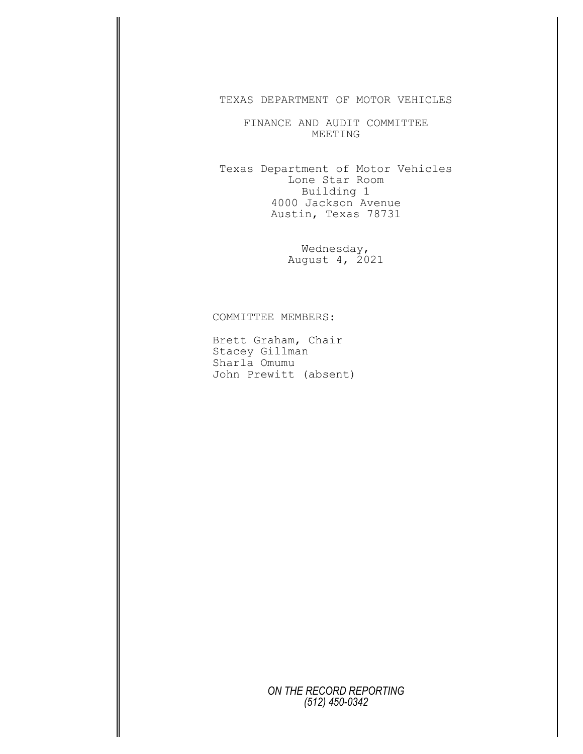TEXAS DEPARTMENT OF MOTOR VEHICLES

FINANCE AND AUDIT COMMITTEE MEETING

Texas Department of Motor Vehicles Lone Star Room Building 1 4000 Jackson Avenue Austin, Texas 78731

> Wednesday, August 4, 2021

COMMITTEE MEMBERS:

Brett Graham, Chair Stacey Gillman Sharla Omumu John Prewitt (absent)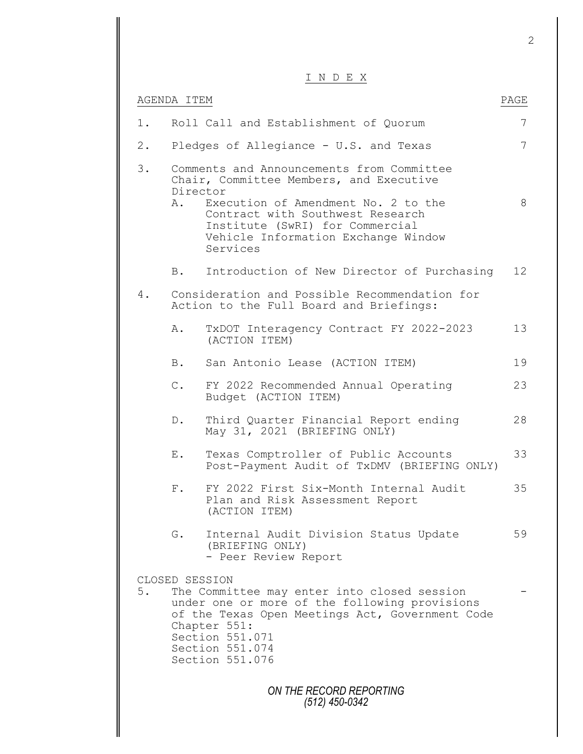|       |                | INDEX                                                                                                                                                                                                                                                 |                 |
|-------|----------------|-------------------------------------------------------------------------------------------------------------------------------------------------------------------------------------------------------------------------------------------------------|-----------------|
|       | AGENDA ITEM    |                                                                                                                                                                                                                                                       | PAGE            |
| $1$ . |                | Roll Call and Establishment of Quorum                                                                                                                                                                                                                 | 7               |
| $2$ . |                | Pledges of Allegiance - U.S. and Texas                                                                                                                                                                                                                | $7\overline{ }$ |
| 3.    | Director<br>Α. | Comments and Announcements from Committee<br>Chair, Committee Members, and Executive<br>Execution of Amendment No. 2 to the<br>Contract with Southwest Research<br>Institute (SwRI) for Commercial<br>Vehicle Information Exchange Window<br>Services | 8               |
|       | B.             | Introduction of New Director of Purchasing                                                                                                                                                                                                            | 12 <sup>°</sup> |
| 4.    |                | Consideration and Possible Recommendation for<br>Action to the Full Board and Briefings:                                                                                                                                                              |                 |
|       | Α.             | TxDOT Interagency Contract FY 2022-2023<br>(ACTION ITEM)                                                                                                                                                                                              | 13              |
|       | B.             | San Antonio Lease (ACTION ITEM)                                                                                                                                                                                                                       | 19              |
|       | $\mathbb{C}$ . | FY 2022 Recommended Annual Operating<br>Budget (ACTION ITEM)                                                                                                                                                                                          | 23              |
|       | $D$ .          | Third Quarter Financial Report ending<br>May 31, 2021 (BRIEFING ONLY)                                                                                                                                                                                 | 28              |
|       | Ε.             | Texas Comptroller of Public Accounts<br>Post-Payment Audit of TxDMV (BRIEFING ONLY)                                                                                                                                                                   | 33              |
|       | $F$ .          | FY 2022 First Six-Month Internal Audit<br>Plan and Risk Assessment Report<br>(ACTION ITEM)                                                                                                                                                            | 35              |
|       | G.             | Internal Audit Division Status Update<br>(BRIEFING ONLY)<br>- Peer Review Report                                                                                                                                                                      | 59              |
| 5.    |                | CLOSED SESSION<br>The Committee may enter into closed session<br>under one or more of the following provisions<br>of the Texas Open Meetings Act, Government Code<br>Chapter 551:<br>Section 551.071<br>Section 551.074<br>Section 551.076            |                 |
|       |                | ON THE RECORD REPORTING<br>(512) 450-0342                                                                                                                                                                                                             |                 |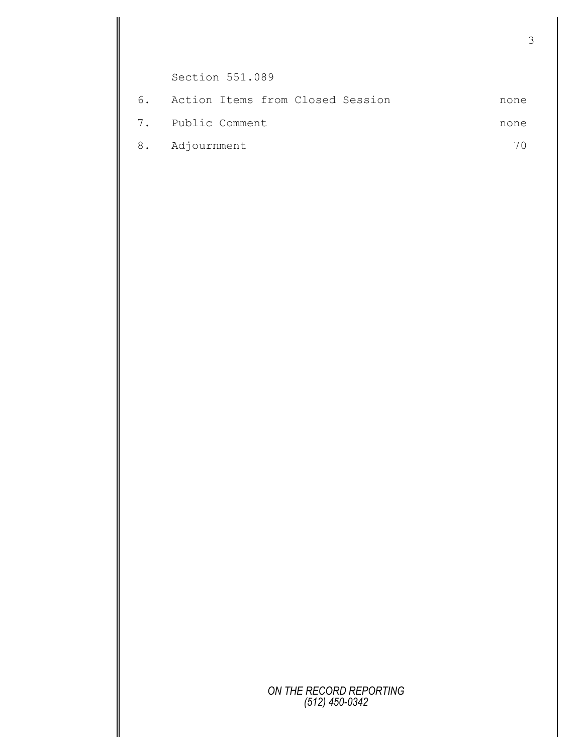Section 551.089 6. Action Items from Closed Session none 7. Public Comment none 8. Adjournment 70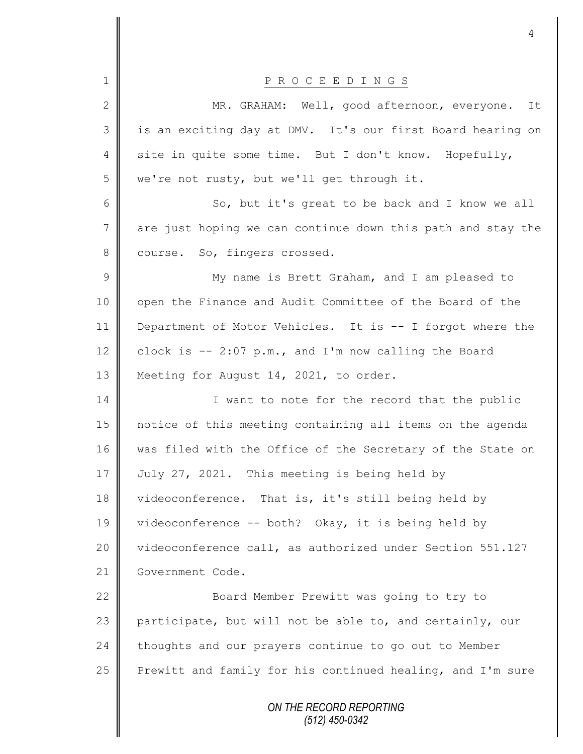|                 | 4                                                           |
|-----------------|-------------------------------------------------------------|
| $\mathbf 1$     | P R O C E E D I N G S                                       |
| $\mathbf{2}$    | MR. GRAHAM: Well, good afternoon, everyone.<br>It           |
| 3               | is an exciting day at DMV. It's our first Board hearing on  |
| 4               | site in quite some time. But I don't know. Hopefully,       |
| 5               | we're not rusty, but we'll get through it.                  |
|                 |                                                             |
| 6               | So, but it's great to be back and I know we all             |
| $7\phantom{.0}$ | are just hoping we can continue down this path and stay the |
| 8               | course. So, fingers crossed.                                |
| $\mathsf 9$     | My name is Brett Graham, and I am pleased to                |
| 10              | open the Finance and Audit Committee of the Board of the    |
| 11              | Department of Motor Vehicles. It is -- I forgot where the   |
| 12              | clock is $-2:07$ p.m., and I'm now calling the Board        |
| 13              | Meeting for August 14, 2021, to order.                      |
| 14              | I want to note for the record that the public               |
| 15              | notice of this meeting containing all items on the agenda   |
| 16              | was filed with the Office of the Secretary of the State on  |
| 17              | July 27, 2021. This meeting is being held by                |
| 18              | videoconference. That is, it's still being held by          |
| 19              | videoconference -- both? Okay, it is being held by          |
| 20              | videoconference call, as authorized under Section 551.127   |
| 21              | Government Code.                                            |
| 22              | Board Member Prewitt was going to try to                    |
| 23              | participate, but will not be able to, and certainly, our    |
| 24              | thoughts and our prayers continue to go out to Member       |
| 25              | Prewitt and family for his continued healing, and I'm sure  |
|                 | ON THE RECORD REPORTING<br>(512) 450-0342                   |

 $\mathbf{I}$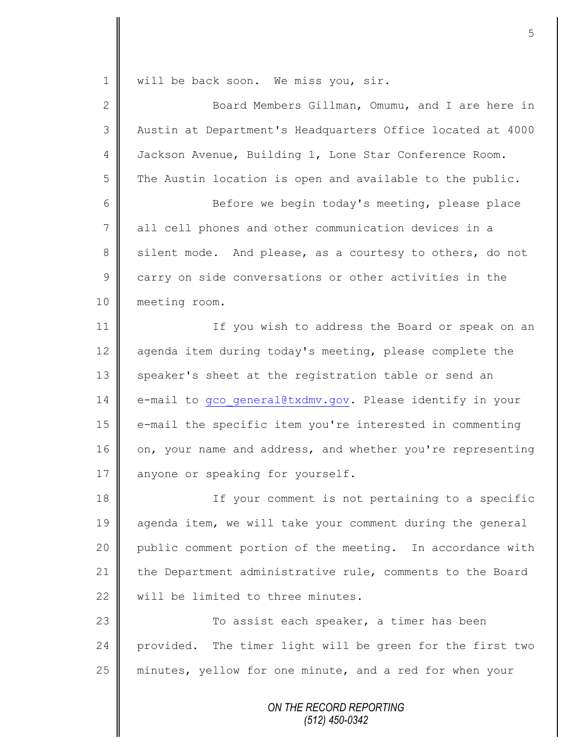*ON THE RECORD REPORTING* 1 | will be back soon. We miss you, sir. 2 || Board Members Gillman, Omumu, and I are here in 3 Austin at Department's Headquarters Office located at 4000 4 Jackson Avenue, Building 1, Lone Star Conference Room.  $5 \parallel$  The Austin location is open and available to the public. 6 Before we begin today's meeting, please place 7 all cell phones and other communication devices in a 8 silent mode. And please, as a courtesy to others, do not 9 carry on side conversations or other activities in the 10 meeting room. 11 | If you wish to address the Board or speak on an 12 agenda item during today's meeting, please complete the 13 speaker's sheet at the registration table or send an 14 e-mail to gco general@txdmv.gov. Please identify in your 15 | e-mail the specific item you're interested in commenting 16 on, your name and address, and whether you're representing 17 anyone or speaking for yourself. 18 | If your comment is not pertaining to a specific 19 agenda item, we will take your comment during the general 20 public comment portion of the meeting. In accordance with 21 the Department administrative rule, comments to the Board 22 || will be limited to three minutes. 23 | To assist each speaker, a timer has been 24 provided. The timer light will be green for the first two 25 | minutes, yellow for one minute, and a red for when your

*(512) 450-0342*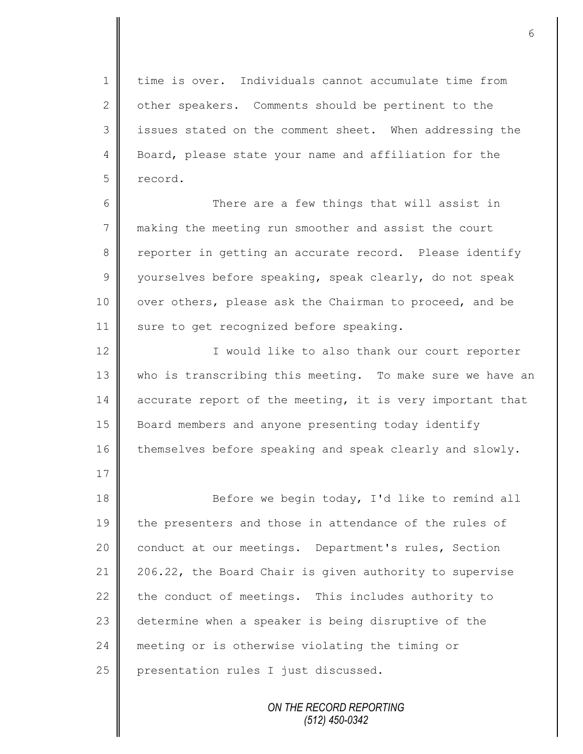1 time is over. Individuals cannot accumulate time from 2 | other speakers. Comments should be pertinent to the 3 | issues stated on the comment sheet. When addressing the 4 Board, please state your name and affiliation for the 5 record.

6 There are a few things that will assist in 7 making the meeting run smoother and assist the court 8 reporter in getting an accurate record. Please identify 9 | yourselves before speaking, speak clearly, do not speak 10 | over others, please ask the Chairman to proceed, and be 11 | sure to get recognized before speaking.

12 || I would like to also thank our court reporter 13 | who is transcribing this meeting. To make sure we have an 14 accurate report of the meeting, it is very important that 15 Board members and anyone presenting today identify 16 themselves before speaking and speak clearly and slowly.

18 Before we begin today, I'd like to remind all 19 the presenters and those in attendance of the rules of 20 | conduct at our meetings. Department's rules, Section 21 | 206.22, the Board Chair is given authority to supervise 22 the conduct of meetings. This includes authority to 23 determine when a speaker is being disruptive of the 24 meeting or is otherwise violating the timing or  $25$  | presentation rules I just discussed.

17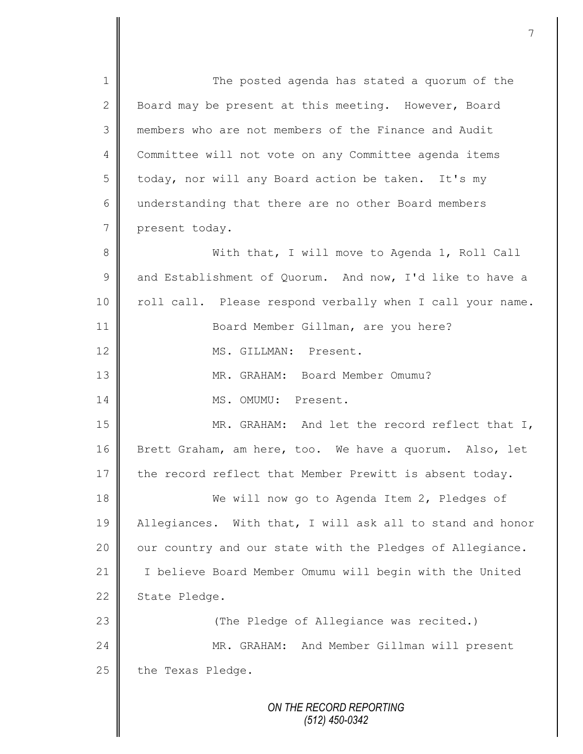*ON THE RECORD REPORTING (512) 450-0342* 1 || The posted agenda has stated a quorum of the 2 Board may be present at this meeting. However, Board 3 members who are not members of the Finance and Audit 4 Committee will not vote on any Committee agenda items 5 | today, nor will any Board action be taken. It's my 6 understanding that there are no other Board members 7 present today. 8 With that, I will move to Agenda 1, Roll Call 9 and Establishment of Quorum. And now, I'd like to have a 10 || roll call. Please respond verbally when I call your name. 11 Board Member Gillman, are you here? 12 MS. GILLMAN: Present. 13 MR. GRAHAM: Board Member Omumu? 14 || MS. OMUMU: Present. 15 || MR. GRAHAM: And let the record reflect that I, 16 Brett Graham, am here, too. We have a quorum. Also, let  $17$  the record reflect that Member Prewitt is absent today. 18 We will now go to Agenda Item 2, Pledges of 19 Allegiances. With that, I will ask all to stand and honor 20 | our country and our state with the Pledges of Allegiance. 21 I believe Board Member Omumu will begin with the United 22 State Pledge. 23 (The Pledge of Allegiance was recited.) 24 MR. GRAHAM: And Member Gillman will present  $25$  the Texas Pledge.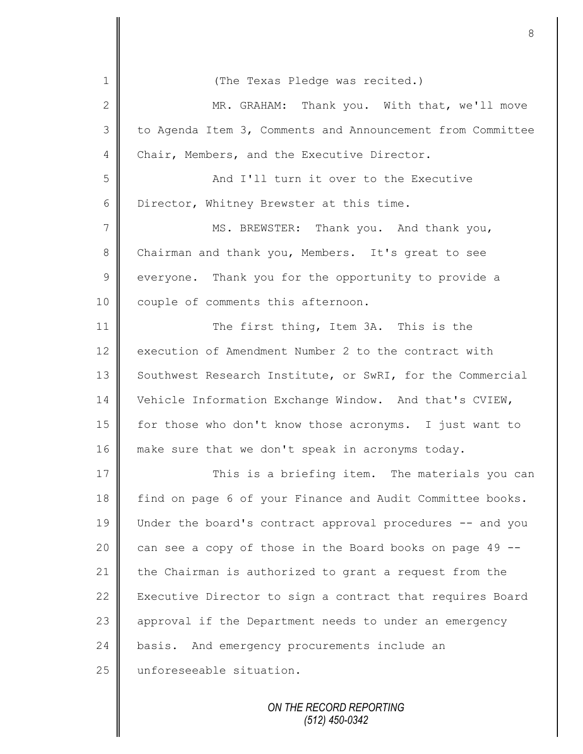| $\mathbf 1$     | (The Texas Pledge was recited.)                            |
|-----------------|------------------------------------------------------------|
| 2               | MR. GRAHAM: Thank you. With that, we'll move               |
| 3               | to Agenda Item 3, Comments and Announcement from Committee |
| 4               | Chair, Members, and the Executive Director.                |
| 5               | And I'll turn it over to the Executive                     |
| 6               | Director, Whitney Brewster at this time.                   |
| $7\phantom{.0}$ | MS. BREWSTER: Thank you. And thank you,                    |
| $\,8\,$         | Chairman and thank you, Members. It's great to see         |
| $\mathcal{G}$   | everyone. Thank you for the opportunity to provide a       |
| 10              | couple of comments this afternoon.                         |
| 11              | The first thing, Item 3A. This is the                      |
| 12              | execution of Amendment Number 2 to the contract with       |
| 13              | Southwest Research Institute, or SwRI, for the Commercial  |
| 14              | Vehicle Information Exchange Window. And that's CVIEW,     |
| 15              | for those who don't know those acronyms. I just want to    |
| 16              | make sure that we don't speak in acronyms today.           |
| 17              | This is a briefing item. The materials you can             |
| 18              | find on page 6 of your Finance and Audit Committee books.  |
| 19              | Under the board's contract approval procedures -- and you  |
| 20              | can see a copy of those in the Board books on page 49 --   |
| 21              | the Chairman is authorized to grant a request from the     |
| 22              | Executive Director to sign a contract that requires Board  |
| 23              | approval if the Department needs to under an emergency     |
| 24              | basis. And emergency procurements include an               |
| 25              | unforeseeable situation.                                   |
|                 |                                                            |

Ш II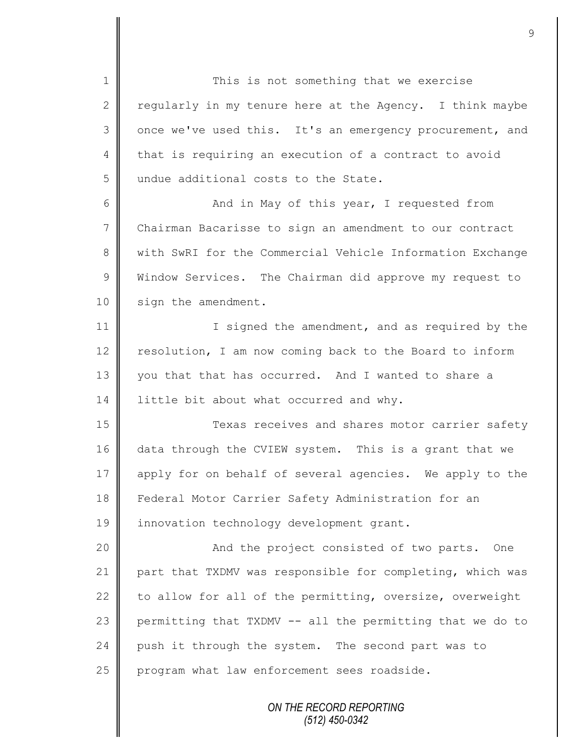1 This is not something that we exercise 2 regularly in my tenure here at the Agency. I think maybe 3 | once we've used this. It's an emergency procurement, and 4 that is requiring an execution of a contract to avoid 5 undue additional costs to the State. 6 And in May of this year, I requested from 7 Chairman Bacarisse to sign an amendment to our contract 8 | with SwRI for the Commercial Vehicle Information Exchange 9 Window Services. The Chairman did approve my request to 10 | sign the amendment. 11 | I signed the amendment, and as required by the 12 | resolution, I am now coming back to the Board to inform 13 vou that that has occurred. And I wanted to share a 14 | little bit about what occurred and why. 15 || Texas receives and shares motor carrier safety 16 data through the CVIEW system. This is a grant that we 17 apply for on behalf of several agencies. We apply to the 18 Federal Motor Carrier Safety Administration for an 19 | innovation technology development grant. 20 || And the project consisted of two parts. One 21 part that TXDMV was responsible for completing, which was 22 to allow for all of the permitting, oversize, overweight 23 permitting that TXDMV  $-$  all the permitting that we do to 24 push it through the system. The second part was to  $25$  program what law enforcement sees roadside.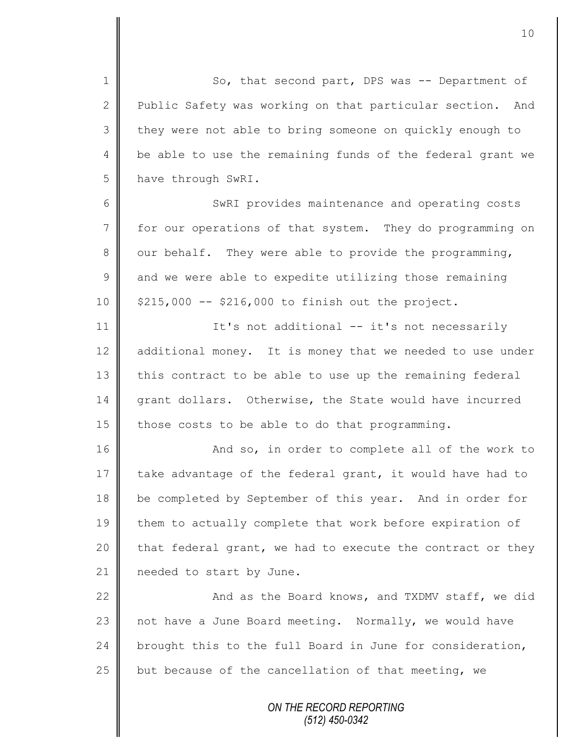1 So, that second part, DPS was -- Department of 2 Public Safety was working on that particular section. And 3 they were not able to bring someone on quickly enough to 4 | be able to use the remaining funds of the federal grant we 5 have through SwRI.

6 || SWRI provides maintenance and operating costs 7 for our operations of that system. They do programming on 8 | our behalf. They were able to provide the programming,  $9 \parallel$  and we were able to expedite utilizing those remaining 10 | \$215,000 -- \$216,000 to finish out the project.

11 | It's not additional -- it's not necessarily 12 additional money. It is money that we needed to use under  $13$  this contract to be able to use up the remaining federal 14 grant dollars. Otherwise, the State would have incurred 15 those costs to be able to do that programming.

16 | And so, in order to complete all of the work to 17 take advantage of the federal grant, it would have had to 18 be completed by September of this year. And in order for 19 them to actually complete that work before expiration of 20  $\parallel$  that federal grant, we had to execute the contract or they 21 | needed to start by June.

 $\parallel$  and as the Board knows, and TXDMV staff, we did not have a June Board meeting. Normally, we would have 24 brought this to the full Board in June for consideration,  $\parallel$  but because of the cancellation of that meeting, we

> *ON THE RECORD REPORTING (512) 450-0342*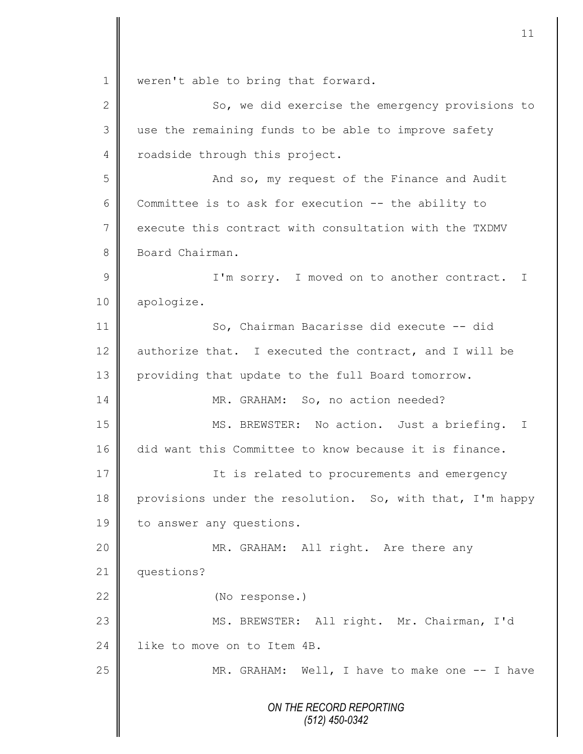*ON THE RECORD REPORTING (512) 450-0342* 1 | weren't able to bring that forward. 2 || So, we did exercise the emergency provisions to 3 use the remaining funds to be able to improve safety 4 | roadside through this project. 5 And so, my request of the Finance and Audit 6 Committee is to ask for execution  $-$ - the ability to 7 execute this contract with consultation with the TXDMV 8 Board Chairman. 9 || I'm sorry. I moved on to another contract. I 10 apologize. 11 So, Chairman Bacarisse did execute -- did 12  $\parallel$  authorize that. I executed the contract, and I will be 13 providing that update to the full Board tomorrow. 14 MR. GRAHAM: So, no action needed? 15 || MS. BREWSTER: No action. Just a briefing. I 16 did want this Committee to know because it is finance. 17 **If is related to procurements and emergency** 18 | provisions under the resolution. So, with that, I'm happy 19 to answer any questions. 20 || MR. GRAHAM: All right. Are there any 21 | questions? 22 (No response.) 23 || MS. BREWSTER: All right. Mr. Chairman, I'd 24 l like to move on to Item 4B. 25 | MR. GRAHAM: Well, I have to make one -- I have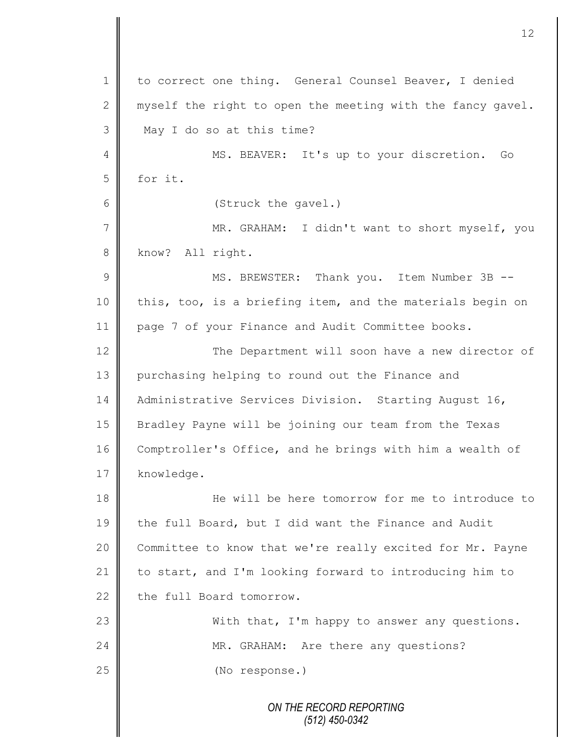*ON THE RECORD REPORTING* 1 to correct one thing. General Counsel Beaver, I denied 2 myself the right to open the meeting with the fancy gavel. 3 May I do so at this time? 4 || MS. BEAVER: It's up to your discretion. Go  $5$  for it. 6 (Struck the gavel.) 7 || MR. GRAHAM: I didn't want to short myself, you 8 know? All right. 9 || MS. BREWSTER: Thank you. Item Number 3B --10 this, too, is a briefing item, and the materials begin on 11 | page 7 of your Finance and Audit Committee books. 12 | The Department will soon have a new director of 13 purchasing helping to round out the Finance and 14 | Administrative Services Division. Starting August 16, 15 Bradley Payne will be joining our team from the Texas 16 Comptroller's Office, and he brings with him a wealth of 17 knowledge. 18 He will be here tomorrow for me to introduce to 19 the full Board, but I did want the Finance and Audit 20 Committee to know that we're really excited for Mr. Payne 21 to start, and I'm looking forward to introducing him to  $22$  the full Board tomorrow. 23 || With that, I'm happy to answer any questions. 24 | MR. GRAHAM: Are there any questions? 25 (No response.)

12

*(512) 450-0342*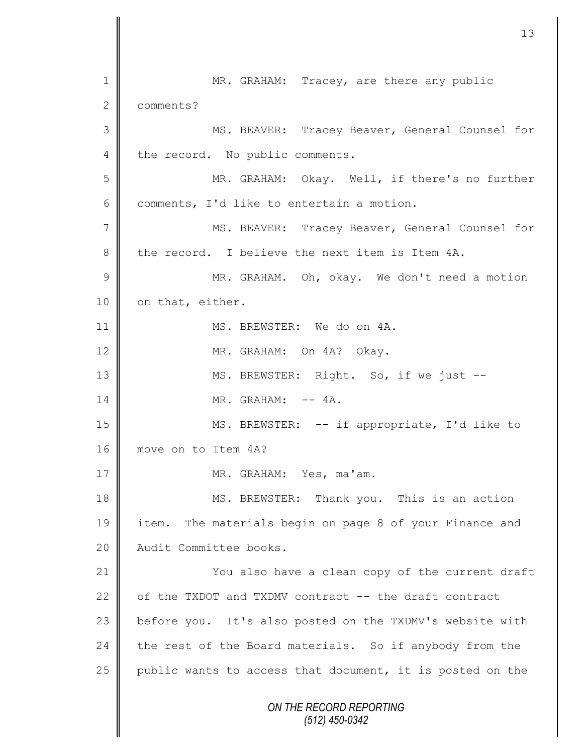*ON THE RECORD REPORTING (512) 450-0342* 1 MR. GRAHAM: Tracey, are there any public 2 **Comments**? 3 MS. BEAVER: Tracey Beaver, General Counsel for 4 the record. No public comments. 5 MR. GRAHAM: Okay. Well, if there's no further 6 comments, I'd like to entertain a motion. 7 || MS. BEAVER: Tracey Beaver, General Counsel for 8 the record. I believe the next item is Item 4A. 9 || MR. GRAHAM. Oh, okay. We don't need a motion 10 | on that, either. 11 || MS. BREWSTER: We do on 4A. 12 MR. GRAHAM: On 4A? Okay. 13 | MS. BREWSTER: Right. So, if we just -- $14$   $\parallel$  MR. GRAHAM:  $-4$ A. 15 || MS. BREWSTER: -- if appropriate, I'd like to 16 move on to Item 4A? 17 || MR. GRAHAM: Yes, ma'am. 18 MS. BREWSTER: Thank you. This is an action 19 item. The materials begin on page 8 of your Finance and 20 Audit Committee books. 21 **You also have a clean copy of the current draft** 22 of the TXDOT and TXDMV contract -- the draft contract 23 before you. It's also posted on the TXDMV's website with  $24$  the rest of the Board materials. So if anybody from the 25  $\parallel$  public wants to access that document, it is posted on the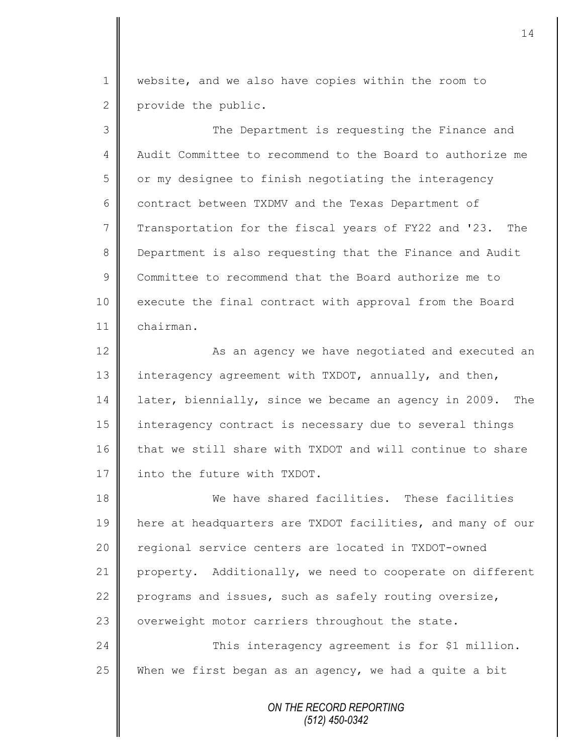1 | website, and we also have copies within the room to 2 provide the public.

3 The Department is requesting the Finance and 4 Audit Committee to recommend to the Board to authorize me  $5 \parallel$  or my designee to finish negotiating the interagency 6 contract between TXDMV and the Texas Department of  $7 \parallel$  Transportation for the fiscal years of FY22 and '23. The 8 Department is also requesting that the Finance and Audit 9 Committee to recommend that the Board authorize me to 10 execute the final contract with approval from the Board 11 chairman.

12 | As an agency we have negotiated and executed an 13 interagency agreement with TXDOT, annually, and then, 14 later, biennially, since we became an agency in 2009. The 15 interagency contract is necessary due to several things 16 that we still share with TXDOT and will continue to share 17 **I** into the future with TXDOT.

18 We have shared facilities. These facilities 19 | here at headquarters are TXDOT facilities, and many of our 20 | regional service centers are located in TXDOT-owned 21 property. Additionally, we need to cooperate on different 22 programs and issues, such as safely routing oversize, 23 | overweight motor carriers throughout the state. 24 | This interagency agreement is for \$1 million.

25 When we first began as an agency, we had a quite a bit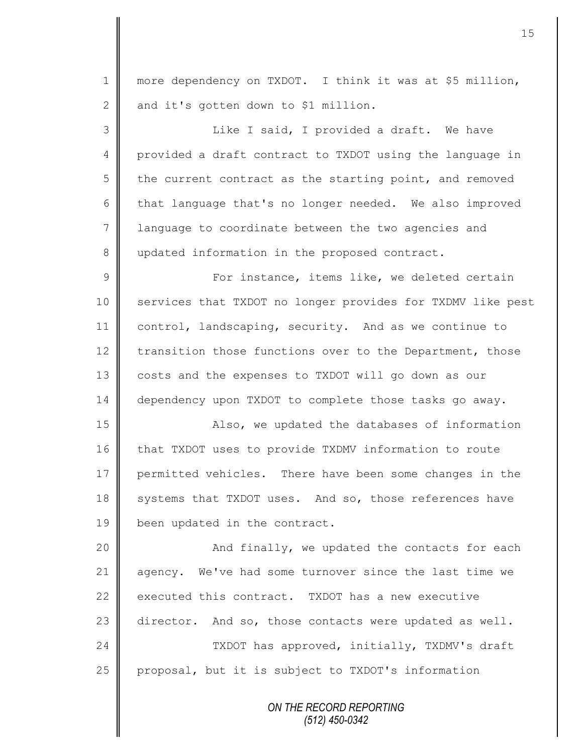1 || more dependency on TXDOT. I think it was at \$5 million,  $2 \parallel$  and it's gotten down to \$1 million. 3 || Like I said, I provided a draft. We have 4 provided a draft contract to TXDOT using the language in  $5$  | the current contract as the starting point, and removed 6 that language that's no longer needed. We also improved 7 | language to coordinate between the two agencies and 8 updated information in the proposed contract. 9 For instance, items like, we deleted certain 10 | services that TXDOT no longer provides for TXDMV like pest 11 control, landscaping, security. And as we continue to 12  $\parallel$  transition those functions over to the Department, those 13 costs and the expenses to TXDOT will go down as our 14 dependency upon TXDOT to complete those tasks go away. 15 || Also, we updated the databases of information 16 that TXDOT uses to provide TXDMV information to route 17 permitted vehicles. There have been some changes in the 18 systems that TXDOT uses. And so, those references have 19 | been updated in the contract. 20 || And finally, we updated the contacts for each 21 agency. We've had some turnover since the last time we 22 executed this contract. TXDOT has a new executive

24 | TXDOT has approved, initially, TXDMV's draft 25 | proposal, but it is subject to TXDOT's information

23 director. And so, those contacts were updated as well.

*ON THE RECORD REPORTING (512) 450-0342*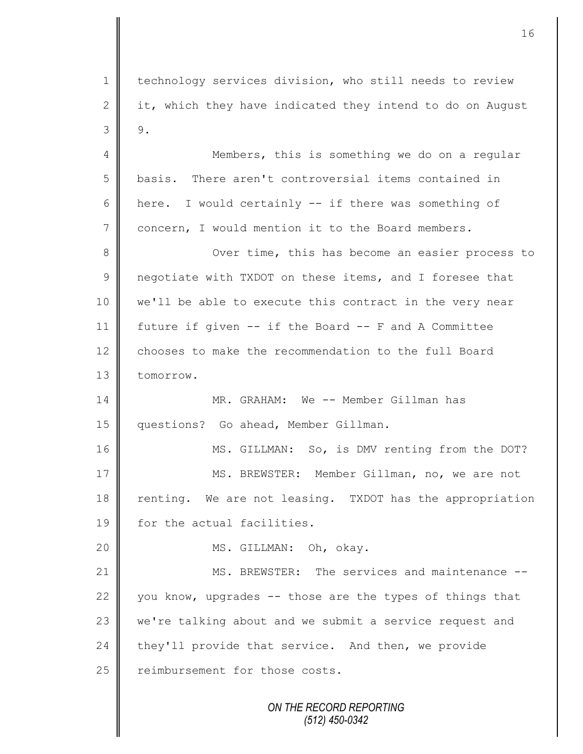*ON THE RECORD REPORTING (512) 450-0342* 1 technology services division, who still needs to review 2 it, which they have indicated they intend to do on August  $3 \parallel 9.$ 4 || Members, this is something we do on a regular 5 basis. There aren't controversial items contained in 6  $\parallel$  here. I would certainly -- if there was something of 7 concern, I would mention it to the Board members. 8 || Over time, this has become an easier process to 9 | negotiate with TXDOT on these items, and I foresee that 10 we'll be able to execute this contract in the very near 11 future if given -- if the Board -- F and A Committee 12 chooses to make the recommendation to the full Board 13 **I** tomorrow. 14 MR. GRAHAM: We -- Member Gillman has 15 | questions? Go ahead, Member Gillman. 16 || MS. GILLMAN: So, is DMV renting from the DOT? 17 | MS. BREWSTER: Member Gillman, no, we are not 18 renting. We are not leasing. TXDOT has the appropriation 19 **for the actual facilities.** 20 || MS. GILLMAN: Oh, okay. 21 **MS. BREWSTER:** The services and maintenance --22  $\parallel$  you know, upgrades -- those are the types of things that 23 we're talking about and we submit a service request and  $24$  they'll provide that service. And then, we provide 25 | reimbursement for those costs.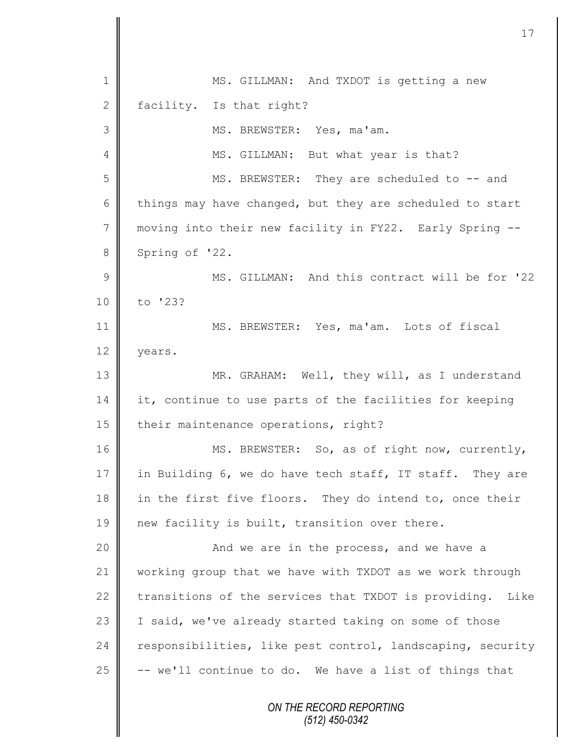| $\mathbf 1$    | MS. GILLMAN: And TXDOT is getting a new                    |
|----------------|------------------------------------------------------------|
| $\mathbf{2}$   | facility. Is that right?                                   |
| 3              | MS. BREWSTER: Yes, ma'am.                                  |
| 4              | MS. GILLMAN: But what year is that?                        |
| 5              | MS. BREWSTER: They are scheduled to -- and                 |
| 6              | things may have changed, but they are scheduled to start   |
| $7\phantom{.}$ | moving into their new facility in FY22. Early Spring --    |
| $8\,$          | Spring of '22.                                             |
| $\mathcal{G}$  | MS. GILLMAN: And this contract will be for '22             |
| 10             | to '23?                                                    |
| 11             | MS. BREWSTER: Yes, ma'am. Lots of fiscal                   |
| 12             | years.                                                     |
| 13             | MR. GRAHAM: Well, they will, as I understand               |
| 14             | it, continue to use parts of the facilities for keeping    |
| 15             | their maintenance operations, right?                       |
| 16             | MS. BREWSTER: So, as of right now, currently,              |
| 17             | in Building 6, we do have tech staff, IT staff. They are   |
| 18             | in the first five floors. They do intend to, once their    |
| 19             | new facility is built, transition over there.              |
| 20             | And we are in the process, and we have a                   |
| 21             | working group that we have with TXDOT as we work through   |
| 22             | transitions of the services that TXDOT is providing. Like  |
| 23             | I said, we've already started taking on some of those      |
| 24             | responsibilities, like pest control, landscaping, security |
| 25             | -- we'll continue to do. We have a list of things that     |
|                | ON THE RECORD REPORTING<br>$(512)$ 450-0342                |

 $\begin{array}{c} \hline \end{array}$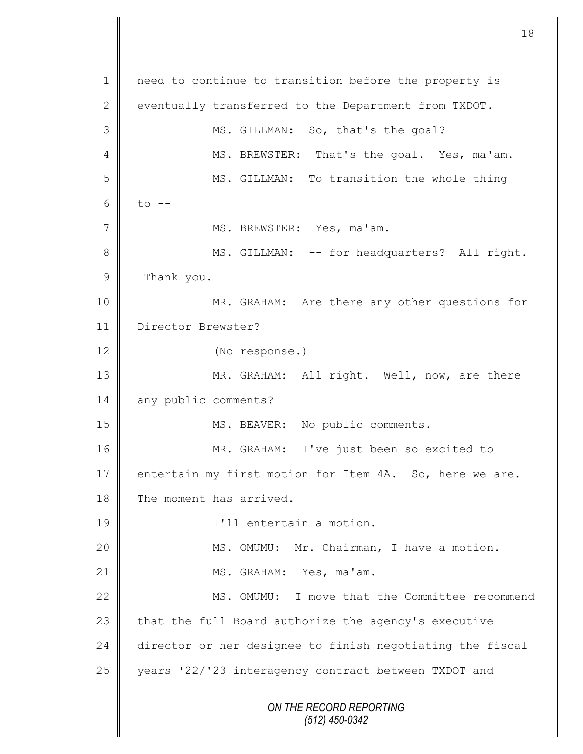*ON THE RECORD REPORTING (512) 450-0342* 1 || need to continue to transition before the property is 2 eventually transferred to the Department from TXDOT. 3 MS. GILLMAN: So, that's the goal? 4 MS. BREWSTER: That's the goal. Yes, ma'am. 5 || MS. GILLMAN: To transition the whole thing 6 to  $-$ 7 | MS. BREWSTER: Yes, ma'am. 8 MS. GILLMAN: -- for headquarters? All right. 9 Thank you. 10 MR. GRAHAM: Are there any other questions for 11 Director Brewster? 12 (No response.) 13 || MR. GRAHAM: All right. Well, now, are there 14 any public comments? 15 || MS. BEAVER: No public comments. 16 MR. GRAHAM: I've just been so excited to 17 entertain my first motion for Item 4A. So, here we are. 18 The moment has arrived. 19 || I'll entertain a motion. 20 | MS. OMUMU: Mr. Chairman, I have a motion. 21 || MS. GRAHAM: Yes, ma'am. 22 || MS. OMUMU: I move that the Committee recommend 23  $\parallel$  that the full Board authorize the agency's executive 24 director or her designee to finish negotiating the fiscal 25 years '22/'23 interagency contract between TXDOT and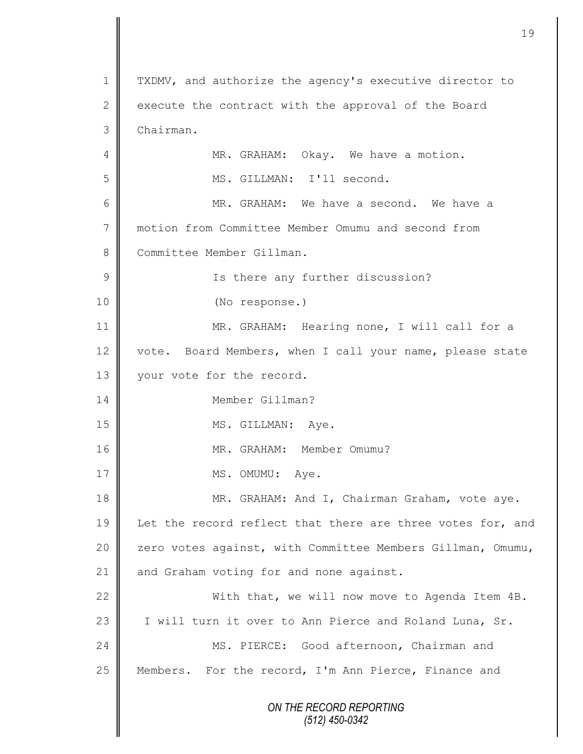*ON THE RECORD REPORTING (512) 450-0342* 1 | TXDMV, and authorize the agency's executive director to 2 execute the contract with the approval of the Board 3 Chairman. 4 **MR.** GRAHAM: Okay. We have a motion. 5 || MS. GILLMAN: I'll second. 6 MR. GRAHAM: We have a second. We have a 7 motion from Committee Member Omumu and second from 8 Committee Member Gillman. 9 || Is there any further discussion? 10 (No response.) 11 || MR. GRAHAM: Hearing none, I will call for a 12 vote. Board Members, when I call your name, please state 13 | your vote for the record. 14 Member Gillman? 15 MS. GILLMAN: Aye. 16 || MR. GRAHAM: Member Omumu? 17 | MS. OMUMU: Aye. 18 || MR. GRAHAM: And I, Chairman Graham, vote aye. 19 Let the record reflect that there are three votes for, and 20 | zero votes against, with Committee Members Gillman, Omumu, 21 | and Graham voting for and none against. 22 With that, we will now move to Agenda Item 4B. 23 | I will turn it over to Ann Pierce and Roland Luna, Sr. 24 MS. PIERCE: Good afternoon, Chairman and 25 || Members. For the record, I'm Ann Pierce, Finance and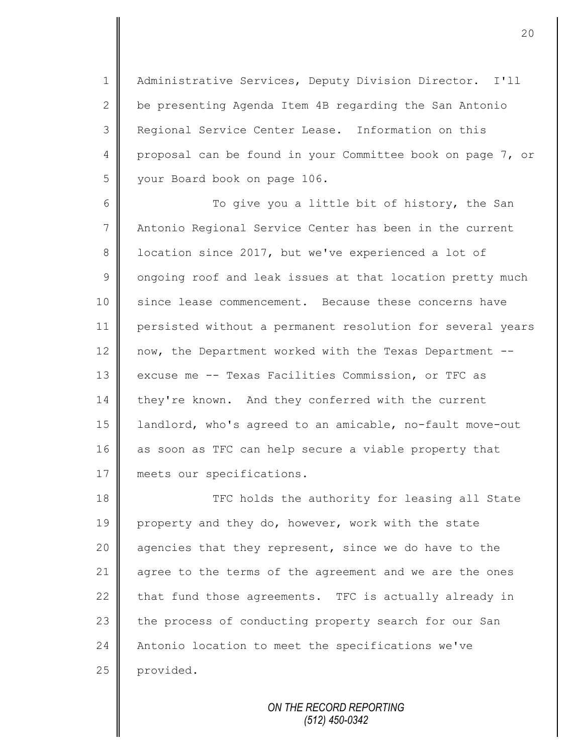1 | Administrative Services, Deputy Division Director. I'll 2  $\parallel$  be presenting Agenda Item 4B regarding the San Antonio 3 Regional Service Center Lease. Information on this 4 proposal can be found in your Committee book on page 7, or 5 | your Board book on page 106.

6  $\parallel$  To give you a little bit of history, the San 7 Antonio Regional Service Center has been in the current 8 | location since 2017, but we've experienced a lot of  $9 \parallel$  ongoing roof and leak issues at that location pretty much 10 since lease commencement. Because these concerns have 11 persisted without a permanent resolution for several years 12 now, the Department worked with the Texas Department --13 excuse me -- Texas Facilities Commission, or TFC as 14 they're known. And they conferred with the current 15 | landlord, who's agreed to an amicable, no-fault move-out 16 as soon as TFC can help secure a viable property that 17 meets our specifications.

18 **THE 18** TFC holds the authority for leasing all State 19 property and they do, however, work with the state 20  $\parallel$  agencies that they represent, since we do have to the 21 agree to the terms of the agreement and we are the ones 22 that fund those agreements. TFC is actually already in 23 the process of conducting property search for our San 24 Antonio location to meet the specifications we've 25 provided.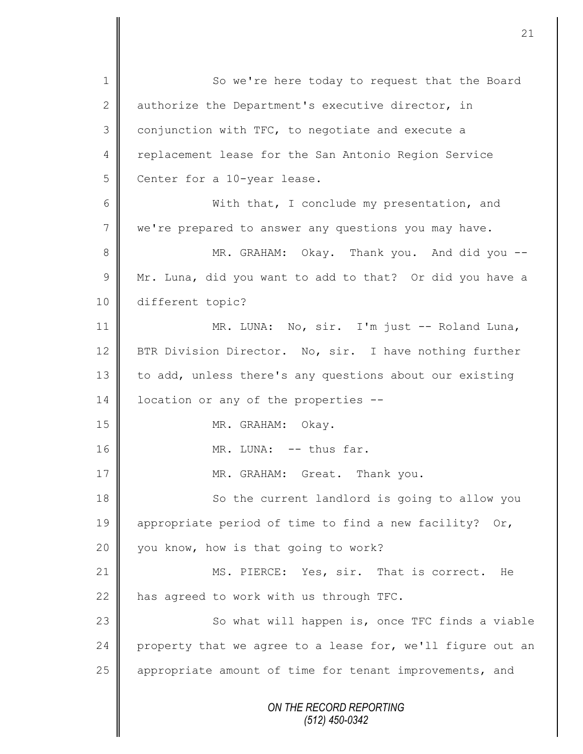*ON THE RECORD REPORTING (512) 450-0342* 1 So we're here today to request that the Board 2 authorize the Department's executive director, in  $3 \parallel$  conjunction with TFC, to negotiate and execute a 4 | replacement lease for the San Antonio Region Service 5 Center for a 10-year lease. 6 With that, I conclude my presentation, and 7 we're prepared to answer any questions you may have. 8 MR. GRAHAM: Okay. Thank you. And did you -- $9 \parallel$  Mr. Luna, did you want to add to that? Or did you have a 10 different topic? 11 || MR. LUNA: No, sir. I'm just -- Roland Luna, 12 BTR Division Director. No, sir. I have nothing further 13 to add, unless there's any questions about our existing 14 | location or any of the properties --15 NR. GRAHAM: Okay. 16 || MR. LUNA: -- thus far. 17 || MR. GRAHAM: Great. Thank you. 18 || So the current landlord is going to allow you 19 appropriate period of time to find a new facility? Or, 20  $\parallel$  you know, how is that going to work? 21 MS. PIERCE: Yes, sir. That is correct. He 22  $\parallel$  has agreed to work with us through TFC. 23 | So what will happen is, once TFC finds a viable 24 property that we agree to a lease for, we'll figure out an 25 | appropriate amount of time for tenant improvements, and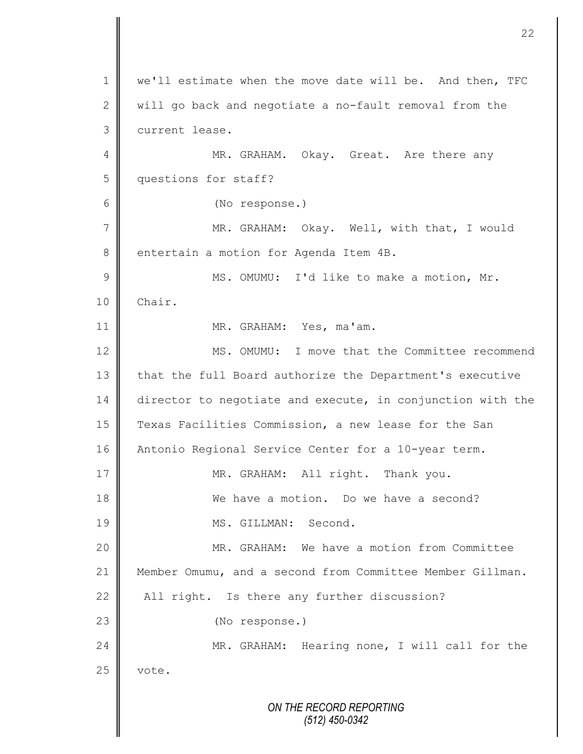*ON THE RECORD REPORTING (512) 450-0342* 1 | we'll estimate when the move date will be. And then, TFC 2  $\parallel$  will go back and negotiate a no-fault removal from the 3 current lease. 4 MR. GRAHAM. Okay. Great. Are there any 5 questions for staff? 6 (No response.) 7 || MR. GRAHAM: Okay. Well, with that, I would 8 entertain a motion for Agenda Item 4B. 9 || MS. OMUMU: I'd like to make a motion, Mr. 10 Chair. 11 | MR. GRAHAM: Yes, ma'am. 12 MS. OMUMU: I move that the Committee recommend 13 that the full Board authorize the Department's executive 14 director to negotiate and execute, in conjunction with the 15 Texas Facilities Commission, a new lease for the San 16 Antonio Regional Service Center for a 10-year term. 17 || MR. GRAHAM: All right. Thank you. 18 **We have a motion.** Do we have a second? 19 || MS. GILLMAN: Second. 20 MR. GRAHAM: We have a motion from Committee 21 Member Omumu, and a second from Committee Member Gillman. 22  $\parallel$  All right. Is there any further discussion? 23 || (No response.) 24 MR. GRAHAM: Hearing none, I will call for the  $25$  vote.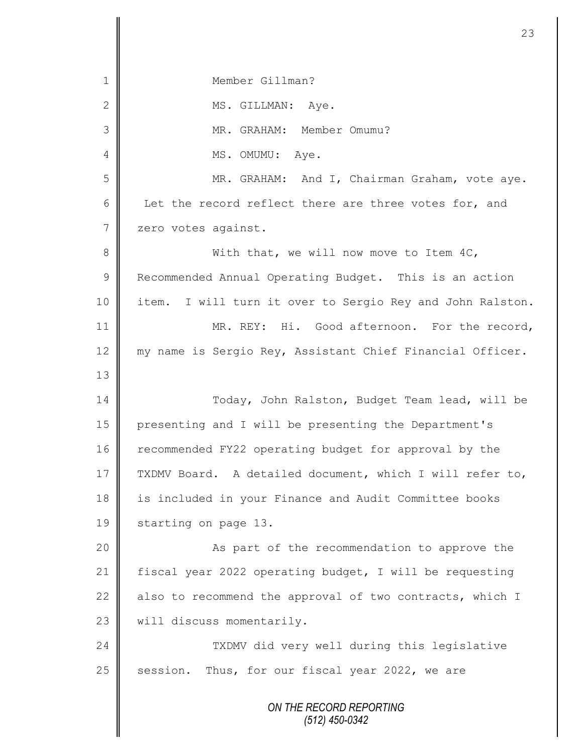*ON THE RECORD REPORTING* 1 Member Gillman? 2 || MS. GILLMAN: Ave. 3 || MR. GRAHAM: Member Omumu? 4 || MS. OMUMU: Aye. 5 MR. GRAHAM: And I, Chairman Graham, vote aye. 6 Let the record reflect there are three votes for, and 7 zero votes against. 8 With that, we will now move to Item 4C, 9 Recommended Annual Operating Budget. This is an action 10 || item. I will turn it over to Sergio Rey and John Ralston. 11 || MR. REY: Hi. Good afternoon. For the record, 12 || my name is Sergio Rey, Assistant Chief Financial Officer. 13 14 Today, John Ralston, Budget Team lead, will be 15 presenting and I will be presenting the Department's 16 Tecommended FY22 operating budget for approval by the 17 TXDMV Board. A detailed document, which I will refer to, 18 is included in your Finance and Audit Committee books 19 | starting on page 13. 20 | Research the recommendation to approve the 21 fiscal year 2022 operating budget, I will be requesting 22  $\parallel$  also to recommend the approval of two contracts, which I 23 | will discuss momentarily. 24 TXDMV did very well during this legislative  $25$  session. Thus, for our fiscal year 2022, we are

23

*(512) 450-0342*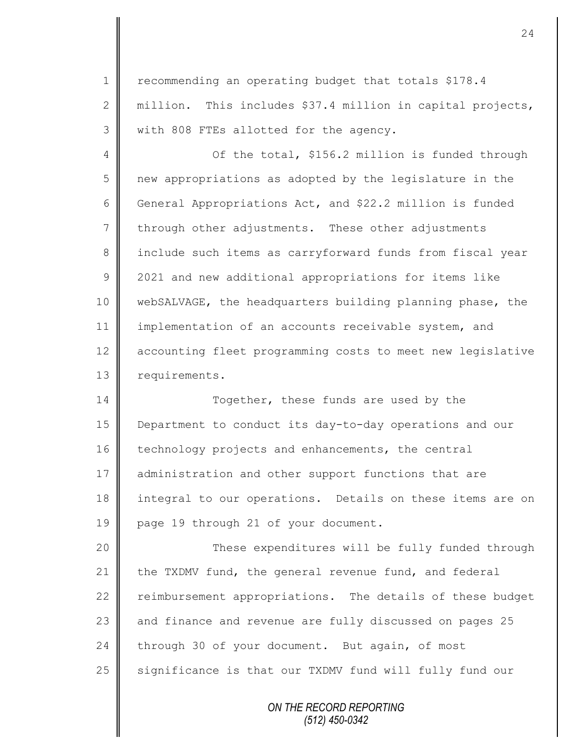1 | recommending an operating budget that totals \$178.4 2  $\parallel$  million. This includes \$37.4 million in capital projects, 3 | with 808 FTEs allotted for the agency.

4 | Of the total, \$156.2 million is funded through 5 | new appropriations as adopted by the legislature in the 6 General Appropriations Act, and \$22.2 million is funded  $7 \parallel$  through other adjustments. These other adjustments 8 || include such items as carryforward funds from fiscal year 9 | 2021 and new additional appropriations for items like 10 webSALVAGE, the headquarters building planning phase, the 11 implementation of an accounts receivable system, and 12 accounting fleet programming costs to meet new legislative 13 requirements.

14 Together, these funds are used by the 15 Department to conduct its day-to-day operations and our 16 technology projects and enhancements, the central 17 administration and other support functions that are 18 integral to our operations. Details on these items are on 19 page 19 through 21 of your document.

20 | These expenditures will be fully funded through 21  $\parallel$  the TXDMV fund, the general revenue fund, and federal 22 reimbursement appropriations. The details of these budget 23 and finance and revenue are fully discussed on pages 25 24 through 30 of your document. But again, of most 25 | significance is that our TXDMV fund will fully fund our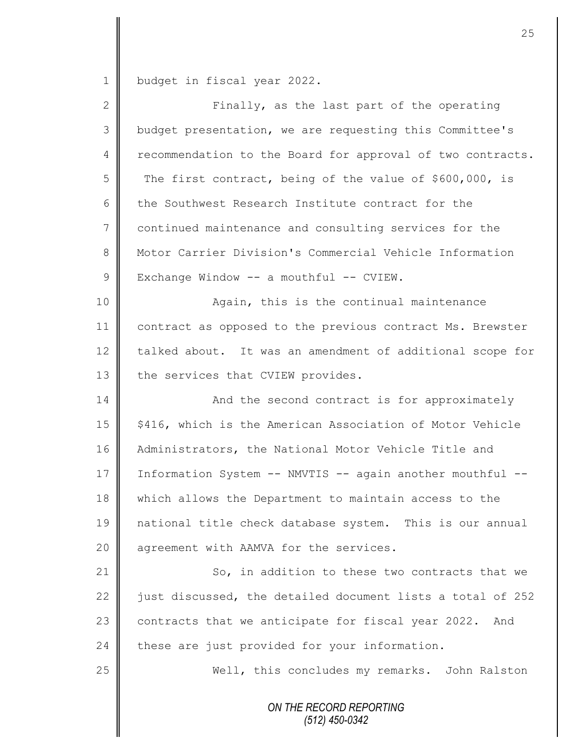1 budget in fiscal year 2022.

II

| $\overline{2}$ | Finally, as the last part of the operating                 |
|----------------|------------------------------------------------------------|
| 3              | budget presentation, we are requesting this Committee's    |
| 4              | recommendation to the Board for approval of two contracts. |
| 5              | The first contract, being of the value of \$600,000, is    |
| 6              | the Southwest Research Institute contract for the          |
| 7              | continued maintenance and consulting services for the      |
| 8              | Motor Carrier Division's Commercial Vehicle Information    |
| 9              | Exchange Window -- a mouthful -- CVIEW.                    |
| 10             | Again, this is the continual maintenance                   |
| 11             | contract as opposed to the previous contract Ms. Brewster  |
| 12             | talked about. It was an amendment of additional scope for  |
| 13             | the services that CVIEW provides.                          |
| 14             | And the second contract is for approximately               |
| 15             | \$416, which is the American Association of Motor Vehicle  |
| 16             | Administrators, the National Motor Vehicle Title and       |
| 17             | Information System -- NMVTIS -- again another mouthful --  |
| 18             | which allows the Department to maintain access to the      |
| 19             | national title check database system. This is our annual   |
| 20             | agreement with AAMVA for the services.                     |
| 21             | So, in addition to these two contracts that we             |
| 22             | just discussed, the detailed document lists a total of 252 |
| 23             | contracts that we anticipate for fiscal year 2022. And     |
| 24             | these are just provided for your information.              |
| 25             | Well, this concludes my remarks. John Ralston              |
|                | ON THE RECORD REPORTING<br>(512) 450-0342                  |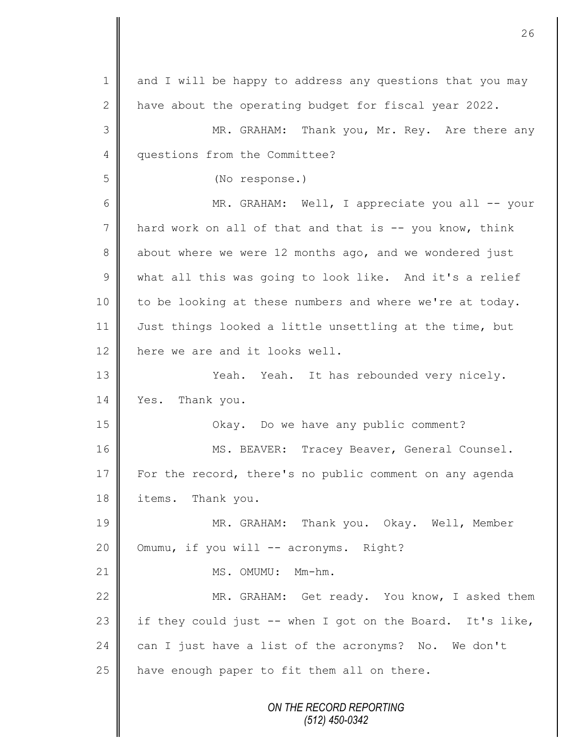| $\mathbf 1$     | and I will be happy to address any questions that you may |
|-----------------|-----------------------------------------------------------|
| $\mathbf{2}$    | have about the operating budget for fiscal year 2022.     |
| 3               | MR. GRAHAM: Thank you, Mr. Rey. Are there any             |
| 4               | questions from the Committee?                             |
| 5               | (No response.)                                            |
| 6               | MR. GRAHAM: Well, I appreciate you all -- your            |
| $7\phantom{.0}$ | hard work on all of that and that is -- you know, think   |
| $8\,$           | about where we were 12 months ago, and we wondered just   |
| $\mathcal{G}$   | what all this was going to look like. And it's a relief   |
| 10              | to be looking at these numbers and where we're at today.  |
| 11              | Just things looked a little unsettling at the time, but   |
| 12              | here we are and it looks well.                            |
| 13              | Yeah. Yeah. It has rebounded very nicely.                 |
| 14              | Yes. Thank you.                                           |
| 15              | Okay. Do we have any public comment?                      |
| 16              | MS. BEAVER: Tracey Beaver, General Counsel.               |
| 17              | For the record, there's no public comment on any agenda   |
| 18              | items. Thank you.                                         |
| 19              | MR. GRAHAM: Thank you. Okay. Well, Member                 |
| 20              | Omumu, if you will -- acronyms. Right?                    |
| 21              | MS. OMUMU: Mm-hm.                                         |
| 22              | MR. GRAHAM: Get ready. You know, I asked them             |
| 23              | if they could just -- when I got on the Board. It's like, |
| 24              | can I just have a list of the acronyms? No. We don't      |
| 25              | have enough paper to fit them all on there.               |
|                 | ON THE RECORD REPORTING<br>$(512)$ 450-0342               |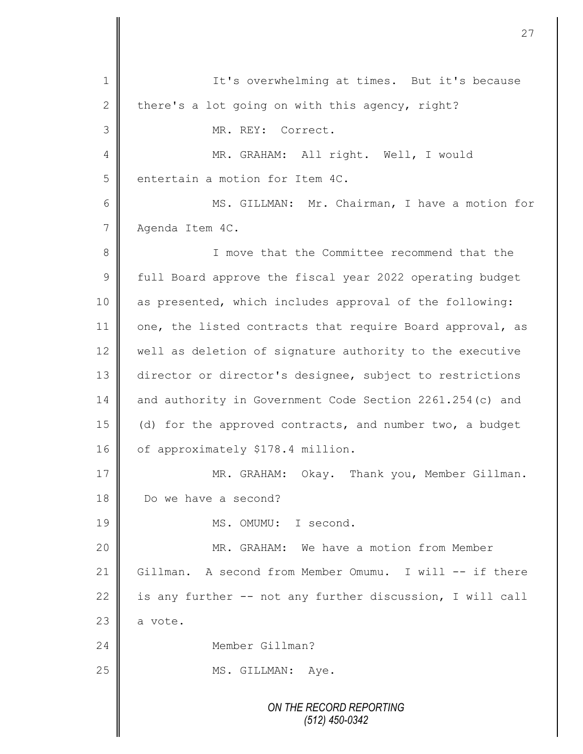*ON THE RECORD REPORTING (512) 450-0342* 1 || It's overwhelming at times. But it's because 2 there's a lot going on with this agency, right? 3 || MR. REY: Correct. 4 || MR. GRAHAM: All right. Well, I would 5 entertain a motion for Item 4C. 6 MS. GILLMAN: Mr. Chairman, I have a motion for 7 Agenda Item 4C. 8 || I move that the Committee recommend that the 9 full Board approve the fiscal year 2022 operating budget 10 as presented, which includes approval of the following: 11 one, the listed contracts that require Board approval, as 12 well as deletion of signature authority to the executive 13 director or director's designee, subject to restrictions 14 and authority in Government Code Section 2261.254(c) and 15 || (d) for the approved contracts, and number two, a budget 16 | of approximately \$178.4 million. 17 MR. GRAHAM: Okay. Thank you, Member Gillman. 18 **||** Do we have a second? 19 MS. OMUMU: I second. 20 MR. GRAHAM: We have a motion from Member 21 Gillman. A second from Member Omumu. I will -- if there 22 is any further  $-$  not any further discussion, I will call  $23 \parallel$  a vote. 24 Member Gillman? 25 | MS. GILLMAN: Aye.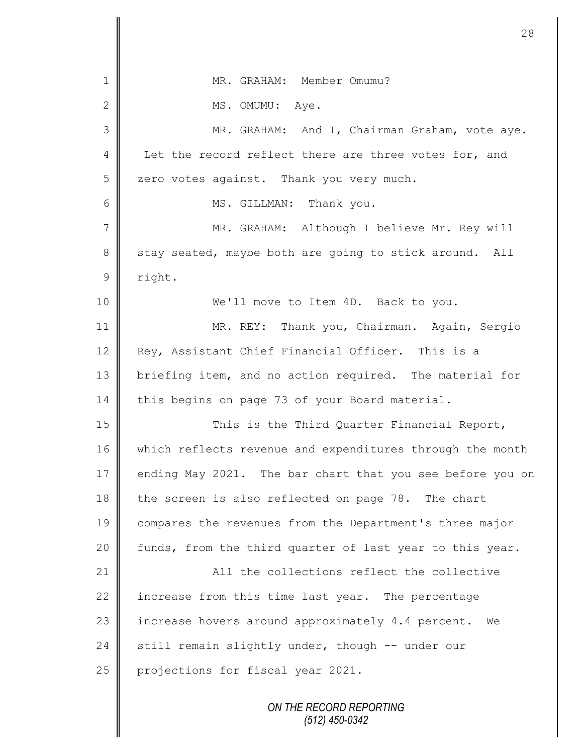|               | 28                                                        |
|---------------|-----------------------------------------------------------|
|               |                                                           |
| 1             | MR. GRAHAM: Member Omumu?                                 |
| $\mathbf{2}$  | MS. OMUMU: Aye.                                           |
| 3             | MR. GRAHAM: And I, Chairman Graham, vote aye.             |
| 4             | Let the record reflect there are three votes for, and     |
| 5             | zero votes against. Thank you very much.                  |
| 6             | MS. GILLMAN: Thank you.                                   |
| 7             | MR. GRAHAM: Although I believe Mr. Rey will               |
| 8             | stay seated, maybe both are going to stick around. All    |
| $\mathcal{G}$ | right.                                                    |
| 10            | We'll move to Item 4D. Back to you.                       |
| 11            | MR. REY: Thank you, Chairman. Again, Sergio               |
| 12            | Rey, Assistant Chief Financial Officer. This is a         |
| 13            | briefing item, and no action required. The material for   |
| 14            | this begins on page 73 of your Board material.            |
| 15            | This is the Third Quarter Financial Report,               |
| 16            | which reflects revenue and expenditures through the month |
| 17            | ending May 2021. The bar chart that you see before you on |
| 18            | the screen is also reflected on page 78. The chart        |
| 19            | compares the revenues from the Department's three major   |
| 20            | funds, from the third quarter of last year to this year.  |
| 21            | All the collections reflect the collective                |
| 22            | increase from this time last year. The percentage         |
| 23            | increase hovers around approximately 4.4 percent. We      |
| 24            | still remain slightly under, though -- under our          |
| 25            | projections for fiscal year 2021.                         |
|               | ON THE RECORD REPORTING<br>(512) 450-0342                 |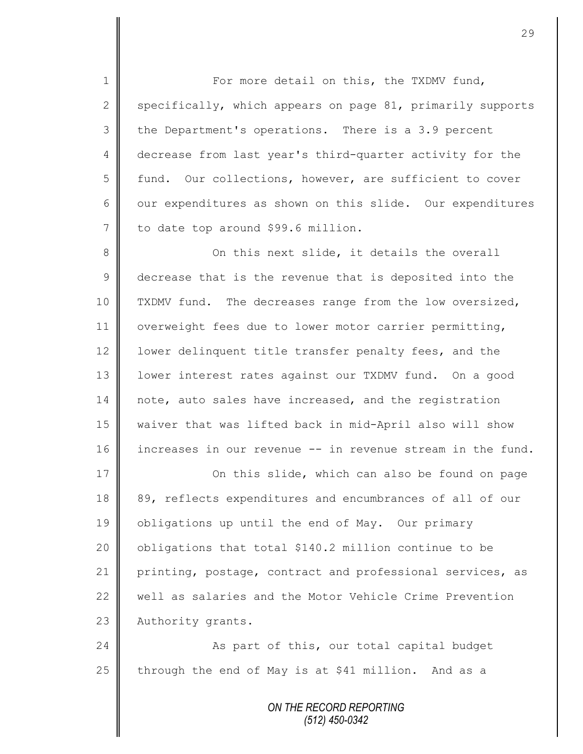1 || For more detail on this, the TXDMV fund, 2 specifically, which appears on page 81, primarily supports 3 the Department's operations. There is a 3.9 percent 4 decrease from last year's third-quarter activity for the 5 fund. Our collections, however, are sufficient to cover 6  $\parallel$  our expenditures as shown on this slide. Our expenditures 7 to date top around \$99.6 million.

8 On this next slide, it details the overall 9 decrease that is the revenue that is deposited into the 10 TXDMV fund. The decreases range from the low oversized, 11 | overweight fees due to lower motor carrier permitting, 12 | lower delinquent title transfer penalty fees, and the 13 | lower interest rates against our TXDMV fund. On a good 14 note, auto sales have increased, and the registration 15 waiver that was lifted back in mid-April also will show 16 increases in our revenue -- in revenue stream in the fund.

17 | Conthis slide, which can also be found on page 18 89, reflects expenditures and encumbrances of all of our 19 | obligations up until the end of May. Our primary 20  $\parallel$  obligations that total \$140.2 million continue to be 21 printing, postage, contract and professional services, as 22 well as salaries and the Motor Vehicle Crime Prevention 23 | Authority grants.

24 | As part of this, our total capital budget 25 through the end of May is at \$41 million. And as a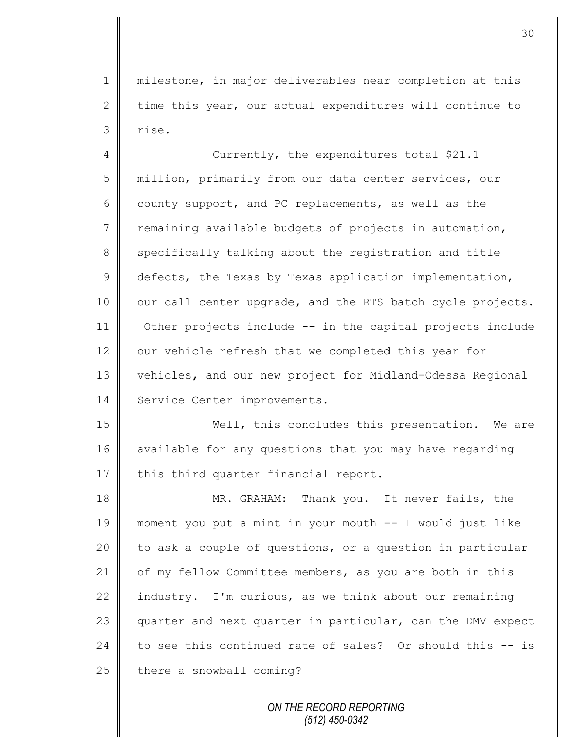1 milestone, in major deliverables near completion at this 2 time this year, our actual expenditures will continue to 3 rise.

4 Currently, the expenditures total \$21.1 5 million, primarily from our data center services, our 6 county support, and PC replacements, as well as the  $7 \parallel$  remaining available budgets of projects in automation, 8 specifically talking about the registration and title  $9 \parallel$  defects, the Texas by Texas application implementation, 10 | our call center upgrade, and the RTS batch cycle projects. 11 Other projects include -- in the capital projects include 12 our vehicle refresh that we completed this year for 13 vehicles, and our new project for Midland-Odessa Regional 14 | Service Center improvements.

15 Well, this concludes this presentation. We are 16 available for any questions that you may have regarding 17  $\parallel$  this third quarter financial report.

18 MR. GRAHAM: Thank you. It never fails, the 19 moment you put a mint in your mouth -- I would just like 20 to ask a couple of questions, or a question in particular 21 | of my fellow Committee members, as you are both in this 22 industry. I'm curious, as we think about our remaining 23 quarter and next quarter in particular, can the DMV expect 24 to see this continued rate of sales? Or should this  $-$  is  $25$  there a snowball coming?

> *ON THE RECORD REPORTING (512) 450-0342*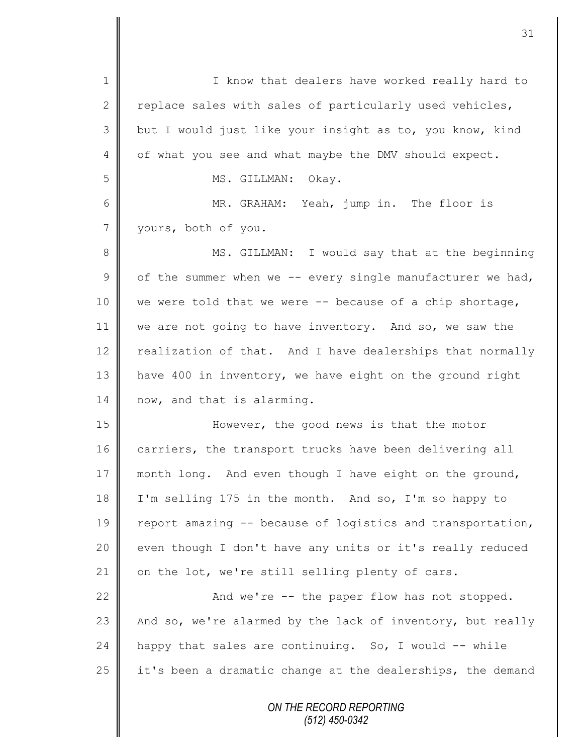*ON THE RECORD REPORTING* 1 || I know that dealers have worked really hard to 2 replace sales with sales of particularly used vehicles, 3 but I would just like your insight as to, you know, kind 4 | of what you see and what maybe the DMV should expect. 5 || MS. GILLMAN: Okay. 6 MR. GRAHAM: Yeah, jump in. The floor is 7 yours, both of you. 8 || MS. GILLMAN: I would say that at the beginning 9  $\parallel$  of the summer when we -- every single manufacturer we had, 10 we were told that we were -- because of a chip shortage, 11 we are not going to have inventory. And so, we saw the 12 realization of that. And I have dealerships that normally 13 | have 400 in inventory, we have eight on the ground right 14 now, and that is alarming. 15 | **However, the good news is that the motor** 16 | carriers, the transport trucks have been delivering all 17 month long. And even though I have eight on the ground, 18 I'm selling 175 in the month. And so, I'm so happy to 19  $\parallel$  report amazing -- because of logistics and transportation, 20 | even though I don't have any units or it's really reduced 21 on the lot, we're still selling plenty of cars. 22  $\parallel$  And we're -- the paper flow has not stopped. 23  $\parallel$  And so, we're alarmed by the lack of inventory, but really 24 happy that sales are continuing. So, I would  $-$ - while 25  $\parallel$  it's been a dramatic change at the dealerships, the demand

*(512) 450-0342*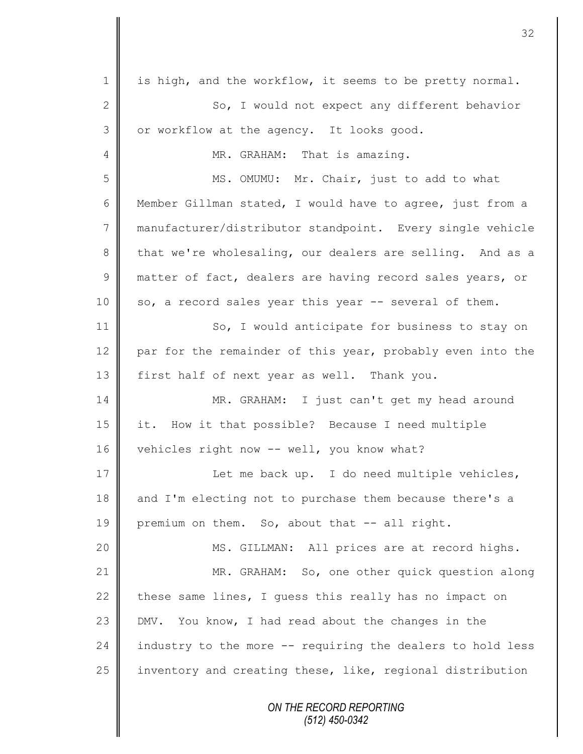*ON THE RECORD REPORTING (512) 450-0342* 1 is high, and the workflow, it seems to be pretty normal. 2 So, I would not expect any different behavior 3 | or workflow at the agency. It looks good. 4 || MR. GRAHAM: That is amazing. 5 || MS. OMUMU: Mr. Chair, just to add to what 6 Member Gillman stated, I would have to agree, just from a 7 manufacturer/distributor standpoint. Every single vehicle 8 that we're wholesaling, our dealers are selling. And as a  $9 \parallel$  matter of fact, dealers are having record sales years, or  $10 \parallel$  so, a record sales year this year  $-$  several of them. 11 So, I would anticipate for business to stay on 12 par for the remainder of this year, probably even into the 13 first half of next year as well. Thank you. 14 MR. GRAHAM: I just can't get my head around 15 it. How it that possible? Because I need multiple 16 vehicles right now -- well, you know what? 17 || Let me back up. I do need multiple vehicles, 18 and I'm electing not to purchase them because there's a 19 premium on them. So, about that  $-$  all right. 20 || MS. GILLMAN: All prices are at record highs. 21 MR. GRAHAM: So, one other quick question along 22 these same lines, I quess this really has no impact on 23 DMV. You know, I had read about the changes in the 24 industry to the more  $-$ - requiring the dealers to hold less 25 | inventory and creating these, like, regional distribution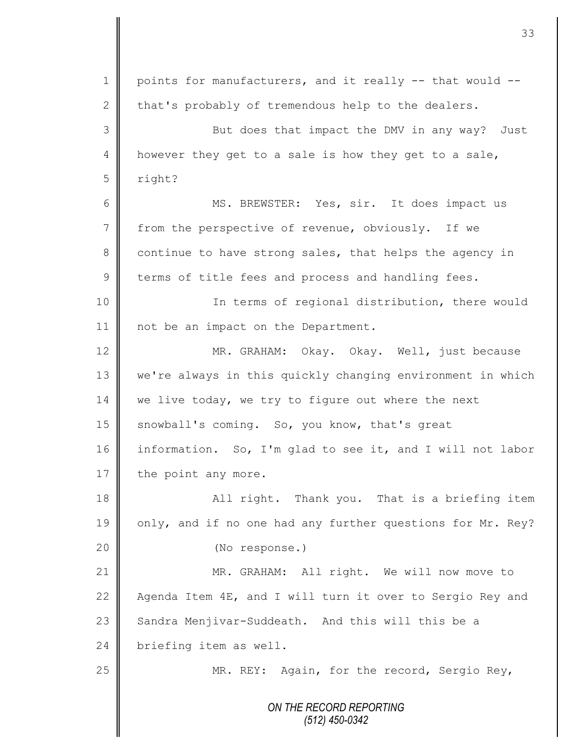|                | 33                                                         |
|----------------|------------------------------------------------------------|
|                |                                                            |
| 1              | points for manufacturers, and it really -- that would --   |
| $\mathbf{2}$   | that's probably of tremendous help to the dealers.         |
| 3              | But does that impact the DMV in any way? Just              |
| 4              | however they get to a sale is how they get to a sale,      |
| 5              | right?                                                     |
| 6              | MS. BREWSTER: Yes, sir. It does impact us                  |
| $7\phantom{.}$ | from the perspective of revenue, obviously. If we          |
| 8              | continue to have strong sales, that helps the agency in    |
| $\mathcal{G}$  | terms of title fees and process and handling fees.         |
| 10             | In terms of regional distribution, there would             |
| 11             | not be an impact on the Department.                        |
| 12             | MR. GRAHAM: Okay. Okay. Well, just because                 |
| 13             | we're always in this quickly changing environment in which |
| 14             | we live today, we try to figure out where the next         |
| 15             | snowball's coming. So, you know, that's great              |
| 16             | information. So, I'm glad to see it, and I will not labor  |
| $17\,$         | the point any more.                                        |
| 18             | All right. Thank you. That is a briefing item              |
| 19             | only, and if no one had any further questions for Mr. Rey? |
| 20             | (No response.)                                             |
| 21             | MR. GRAHAM: All right. We will now move to                 |
| 22             | Agenda Item 4E, and I will turn it over to Sergio Rey and  |
| 23             | Sandra Menjivar-Suddeath. And this will this be a          |
| 24             | briefing item as well.                                     |
| 25             | MR. REY: Again, for the record, Sergio Rey,                |
|                | ON THE RECORD REPORTING<br>$(512)$ 450-0342                |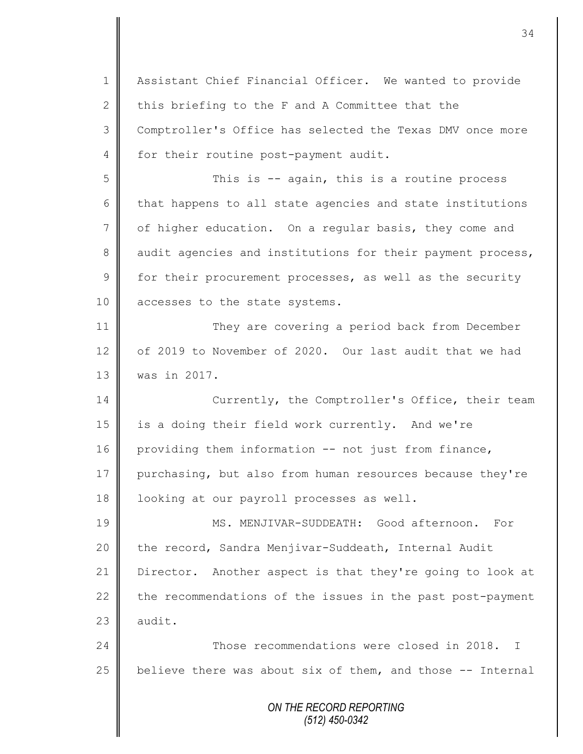*ON THE RECORD REPORTING (512) 450-0342* 1 | Assistant Chief Financial Officer. We wanted to provide 2  $\parallel$  this briefing to the F and A Committee that the 3 Comptroller's Office has selected the Texas DMV once more 4 for their routine post-payment audit. 5 || This is -- again, this is a routine process  $6 \parallel$  that happens to all state agencies and state institutions 7 | of higher education. On a regular basis, they come and 8 audit agencies and institutions for their payment process,  $9 \parallel$  for their procurement processes, as well as the security 10 accesses to the state systems. 11 They are covering a period back from December 12 of 2019 to November of 2020. Our last audit that we had 13 was in 2017. 14 Currently, the Comptroller's Office, their team 15 is a doing their field work currently. And we're 16 providing them information -- not just from finance, 17 purchasing, but also from human resources because they're 18 | looking at our payroll processes as well. 19 MS. MENJIVAR-SUDDEATH: Good afternoon. For 20 | the record, Sandra Menjivar-Suddeath, Internal Audit 21 Director. Another aspect is that they're going to look at 22 the recommendations of the issues in the past post-payment  $23$   $\blacksquare$  audit. 24 **Those recommendations were closed in 2018.** I 25  $\parallel$  believe there was about six of them, and those -- Internal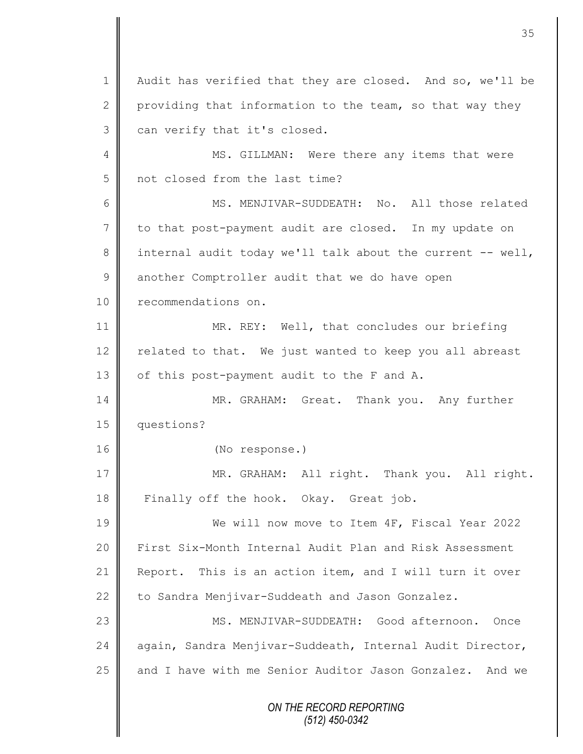*ON THE RECORD REPORTING (512) 450-0342* 1 | Audit has verified that they are closed. And so, we'll be 2 providing that information to the team, so that way they  $3 \parallel$  can verify that it's closed. 4 MS. GILLMAN: Were there any items that were 5 not closed from the last time? 6 MS. MENJIVAR-SUDDEATH: No. All those related 7 to that post-payment audit are closed. In my update on 8 internal audit today we'll talk about the current -- well, 9 another Comptroller audit that we do have open 10 **P** recommendations on. 11 MR. REY: Well, that concludes our briefing 12  $\parallel$  related to that. We just wanted to keep you all abreast 13 | of this post-payment audit to the F and A. 14 MR. GRAHAM: Great. Thank you. Any further 15 questions? 16 (No response.) 17 || MR. GRAHAM: All right. Thank you. All right. 18 Finally off the hook. Okay. Great job. 19 We will now move to Item 4F, Fiscal Year 2022 20 First Six-Month Internal Audit Plan and Risk Assessment 21 Report. This is an action item, and I will turn it over 22 to Sandra Menjivar-Suddeath and Jason Gonzalez. 23 MS. MENJIVAR-SUDDEATH: Good afternoon. Once 24 again, Sandra Menjivar-Suddeath, Internal Audit Director, 25 and I have with me Senior Auditor Jason Gonzalez. And we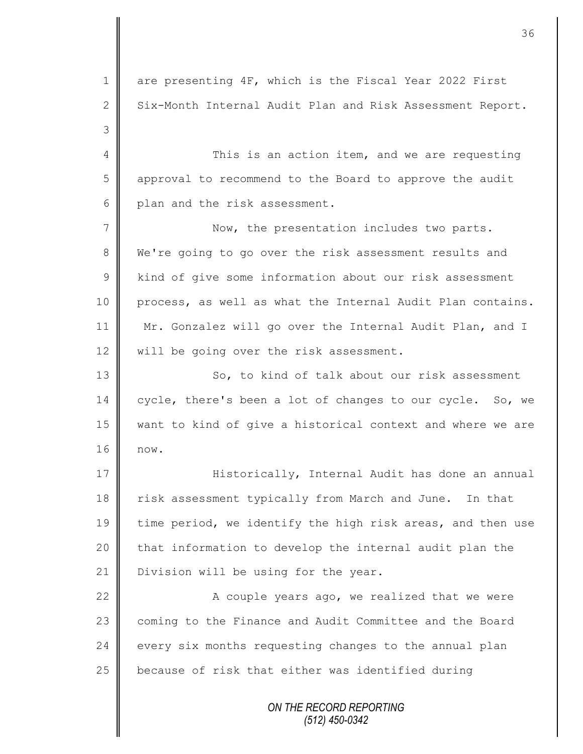*ON THE RECORD REPORTING* 1 are presenting 4F, which is the Fiscal Year 2022 First  $2 \parallel$  Six-Month Internal Audit Plan and Risk Assessment Report. 3 4 This is an action item, and we are requesting 5 || approval to recommend to the Board to approve the audit 6 plan and the risk assessment. 7 || Now, the presentation includes two parts. 8 We're going to go over the risk assessment results and 9 | kind of give some information about our risk assessment 10 process, as well as what the Internal Audit Plan contains. 11 Mr. Gonzalez will go over the Internal Audit Plan, and I 12 || will be going over the risk assessment. 13 || So, to kind of talk about our risk assessment 14 cycle, there's been a lot of changes to our cycle. So, we 15 want to kind of give a historical context and where we are 16 now. 17 | Historically, Internal Audit has done an annual 18 risk assessment typically from March and June. In that 19 time period, we identify the high risk areas, and then use  $20$  | that information to develop the internal audit plan the 21 | Division will be using for the year. 22 | A couple years ago, we realized that we were 23 coming to the Finance and Audit Committee and the Board  $24$  every six months requesting changes to the annual plan 25 **b** because of risk that either was identified during

36

*(512) 450-0342*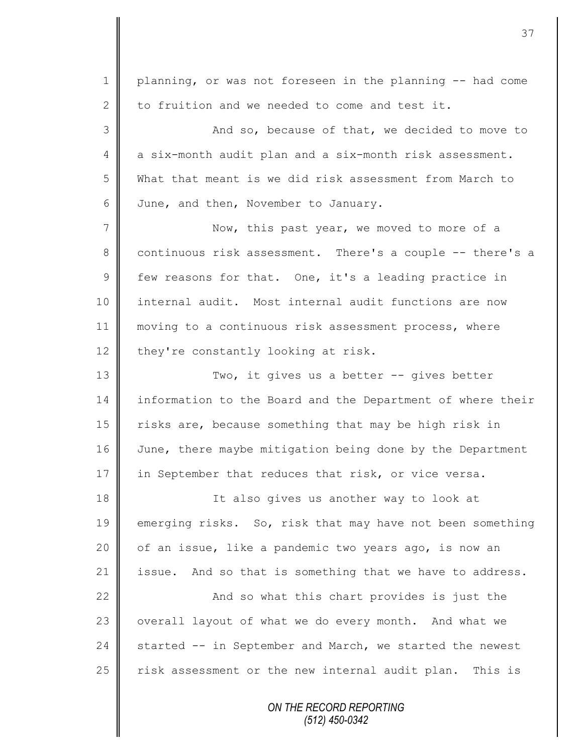*ON THE RECORD REPORTING (512) 450-0342* 1 | planning, or was not foreseen in the planning -- had come 2  $\parallel$  to fruition and we needed to come and test it. 3 And so, because of that, we decided to move to 4 a six-month audit plan and a six-month risk assessment. 5 What that meant is we did risk assessment from March to 6 June, and then, November to January. 7 Now, this past year, we moved to more of a 8 continuous risk assessment. There's a couple -- there's a  $9 \parallel$  few reasons for that. One, it's a leading practice in 10 internal audit. Most internal audit functions are now 11 || moving to a continuous risk assessment process, where 12 they're constantly looking at risk. 13 || Two, it gives us a better -- gives better 14 information to the Board and the Department of where their 15 || risks are, because something that may be high risk in 16 June, there maybe mitigation being done by the Department 17 in September that reduces that risk, or vice versa. 18 || It also gives us another way to look at 19 emerging risks. So, risk that may have not been something 20 | of an issue, like a pandemic two years ago, is now an 21 issue. And so that is something that we have to address. 22  $\parallel$  22  $\parallel$  22  $\parallel$  22  $\parallel$  20  $\parallel$  20  $\parallel$  20  $\parallel$  20  $\parallel$  20  $\parallel$  20  $\parallel$  20  $\parallel$  20  $\parallel$  20  $\parallel$  20  $\parallel$  20  $\parallel$  20  $\parallel$  20  $\parallel$  20  $\parallel$  20  $\parallel$  20  $\parallel$  20  $\parallel$  20  $\parallel$  20  $\parallel$  20  $\parallel$  20  $\parallel$  20  $\parallel$  20  $\parallel$  20  $\$ 23 | overall layout of what we do every month. And what we 24  $\parallel$  started -- in September and March, we started the newest  $25$  risk assessment or the new internal audit plan. This is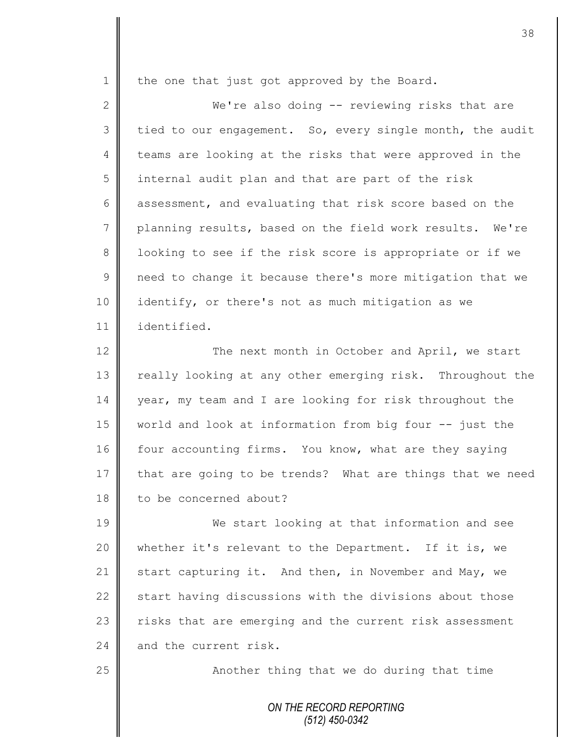$1 \parallel$  the one that just got approved by the Board.

2 We're also doing -- reviewing risks that are  $3 \parallel$  tied to our engagement. So, every single month, the audit 4 teams are looking at the risks that were approved in the 5 | internal audit plan and that are part of the risk 6 assessment, and evaluating that risk score based on the 7 planning results, based on the field work results. We're 8 || looking to see if the risk score is appropriate or if we 9 || need to change it because there's more mitigation that we 10 | identify, or there's not as much mitigation as we 11 identified.

12 | The next month in October and April, we start 13 Teally looking at any other emerging risk. Throughout the 14 year, my team and I are looking for risk throughout the 15 world and look at information from big four -- just the 16 | four accounting firms. You know, what are they saying 17 that are going to be trends? What are things that we need 18 | to be concerned about?

19 We start looking at that information and see 20 whether it's relevant to the Department. If it is, we 21 start capturing it. And then, in November and May, we 22  $\parallel$  start having discussions with the divisions about those 23 | risks that are emerging and the current risk assessment  $24$  and the current risk.

25 || Another thing that we do during that time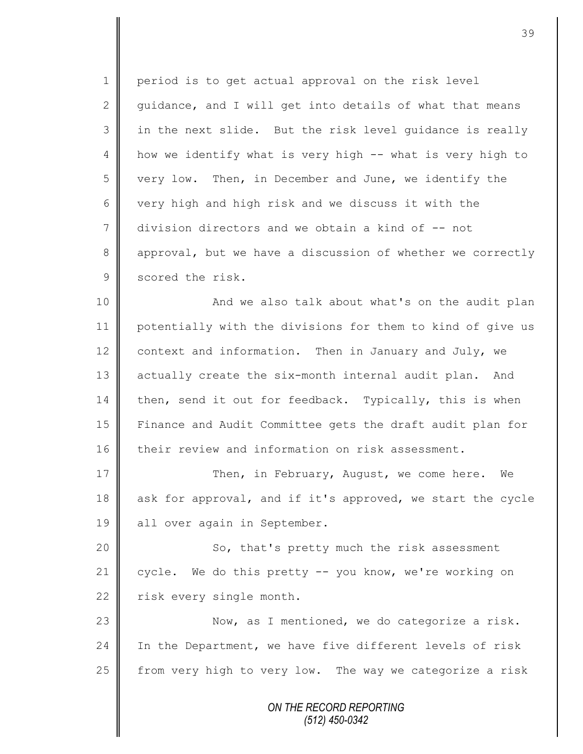1 period is to get actual approval on the risk level 2 guidance, and I will get into details of what that means 3 || in the next slide. But the risk level guidance is really 4 | how we identify what is very high -- what is very high to 5 very low. Then, in December and June, we identify the 6 very high and high risk and we discuss it with the 7 division directors and we obtain a kind of -- not 8 approval, but we have a discussion of whether we correctly 9 scored the risk.

10 || And we also talk about what's on the audit plan 11 potentially with the divisions for them to kind of give us 12 context and information. Then in January and July, we 13 actually create the six-month internal audit plan. And  $14$  then, send it out for feedback. Typically, this is when 15 Finance and Audit Committee gets the draft audit plan for 16 their review and information on risk assessment.

17 **Then, in February, August, we come here.** We 18 ask for approval, and if it's approved, we start the cycle 19 | all over again in September.

20 || So, that's pretty much the risk assessment 21 cycle. We do this pretty -- you know, we're working on  $22$  | risk every single month.

23 | Now, as I mentioned, we do categorize a risk. 24  $\parallel$  In the Department, we have five different levels of risk 25  $\parallel$  from very high to very low. The way we categorize a risk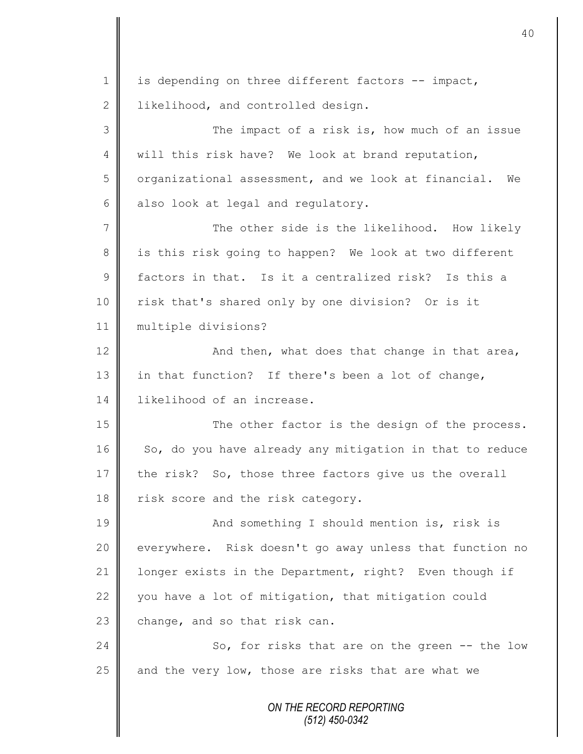*ON THE RECORD REPORTING*  $1 \parallel$  is depending on three different factors -- impact, 2 | likelihood, and controlled design. 3 The impact of a risk is, how much of an issue 4 will this risk have? We look at brand reputation, 5 | organizational assessment, and we look at financial. We  $6$  also look at legal and regulatory. 7 The other side is the likelihood. How likely 8 || is this risk going to happen? We look at two different 9 factors in that. Is it a centralized risk? Is this a 10 | risk that's shared only by one division? Or is it 11 multiple divisions? 12  $\parallel$  and then, what does that change in that area, 13 in that function? If there's been a lot of change, 14 likelihood of an increase. 15 The other factor is the design of the process. 16 So, do you have already any mitigation in that to reduce 17 the risk? So, those three factors give us the overall 18 risk score and the risk category. 19 || And something I should mention is, risk is 20 everywhere. Risk doesn't go away unless that function no 21 | longer exists in the Department, right? Even though if 22 you have a lot of mitigation, that mitigation could 23 change, and so that risk can. 24 So, for risks that are on the green -- the low  $25$  and the very low, those are risks that are what we

*(512) 450-0342*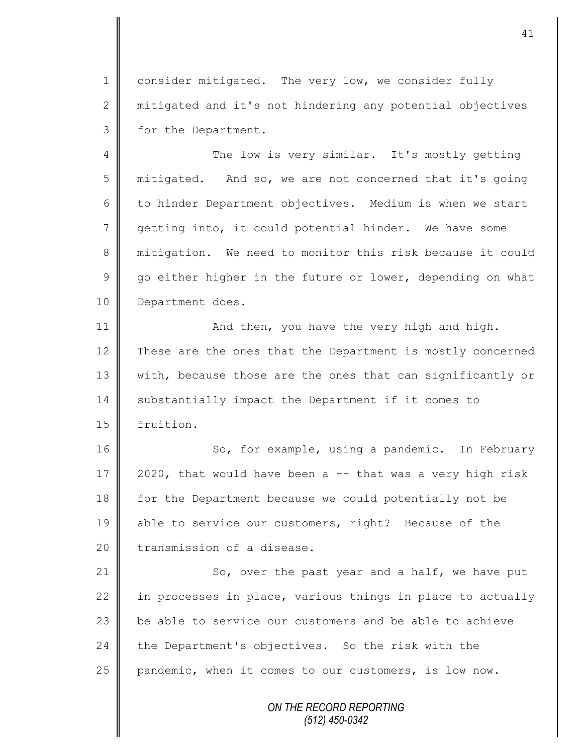1 consider mitigated. The very low, we consider fully 2 mitigated and it's not hindering any potential objectives 3 for the Department.

4 The low is very similar. It's mostly getting 5 || mitigated. And so, we are not concerned that it's going 6 to hinder Department objectives. Medium is when we start 7 getting into, it could potential hinder. We have some 8 mitigation. We need to monitor this risk because it could  $9 \parallel$  go either higher in the future or lower, depending on what 10 | Department does.

11 | And then, you have the very high and high. 12 These are the ones that the Department is mostly concerned 13 | with, because those are the ones that can significantly or 14 Substantially impact the Department if it comes to 15 | fruition.

16 So, for example, using a pandemic. In February 17  $\parallel$  2020, that would have been a -- that was a very high risk 18 for the Department because we could potentially not be 19 able to service our customers, right? Because of the 20 transmission of a disease.

 $\parallel$  So, over the past year and a half, we have put 22 || in processes in place, various things in place to actually  $\parallel$  be able to service our customers and be able to achieve the Department's objectives. So the risk with the  $\parallel$  pandemic, when it comes to our customers, is low now.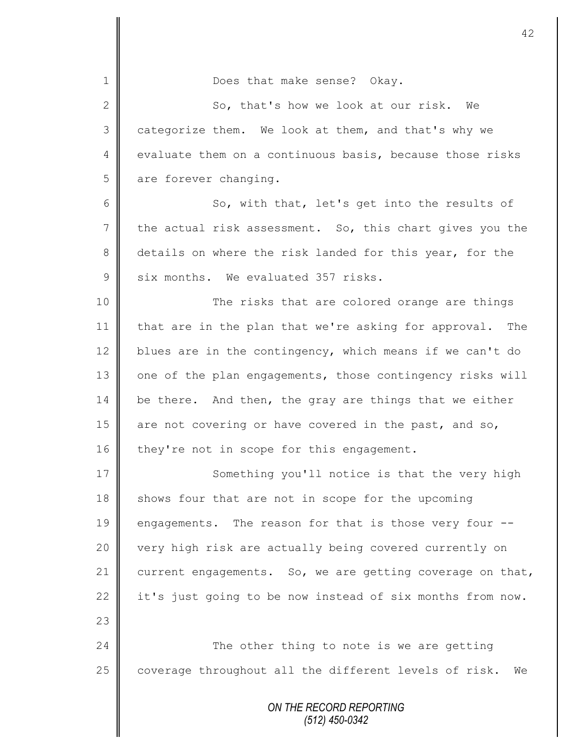| $\mathbf 1$     | Does that make sense? Okay.                                 |
|-----------------|-------------------------------------------------------------|
| $\overline{2}$  | So, that's how we look at our risk.<br>We                   |
| 3               | categorize them. We look at them, and that's why we         |
| $\overline{4}$  | evaluate them on a continuous basis, because those risks    |
| 5               | are forever changing.                                       |
| 6               | So, with that, let's get into the results of                |
| $7\phantom{.0}$ | the actual risk assessment. So, this chart gives you the    |
| 8               | details on where the risk landed for this year, for the     |
| $\mathsf 9$     | six months. We evaluated 357 risks.                         |
| 10              | The risks that are colored orange are things                |
| 11              | that are in the plan that we're asking for approval. The    |
| 12              | blues are in the contingency, which means if we can't do    |
| 13              | one of the plan engagements, those contingency risks will   |
| 14              | be there. And then, the gray are things that we either      |
| 15              | are not covering or have covered in the past, and so,       |
| 16              | they're not in scope for this engagement.                   |
| 17              | Something you'll notice is that the very high               |
| 18              | shows four that are not in scope for the upcoming           |
| 19              | engagements. The reason for that is those very four --      |
| 20              | very high risk are actually being covered currently on      |
| 21              | current engagements. So, we are getting coverage on that,   |
| 22              | it's just going to be now instead of six months from now.   |
| 23              |                                                             |
| 24              | The other thing to note is we are getting                   |
| 25              | coverage throughout all the different levels of risk.<br>We |
|                 | ON THE RECORD REPORTING<br>$(512)$ $450-0342$               |

 $\mathbf{I}$ 

II

*(512) 450-0342*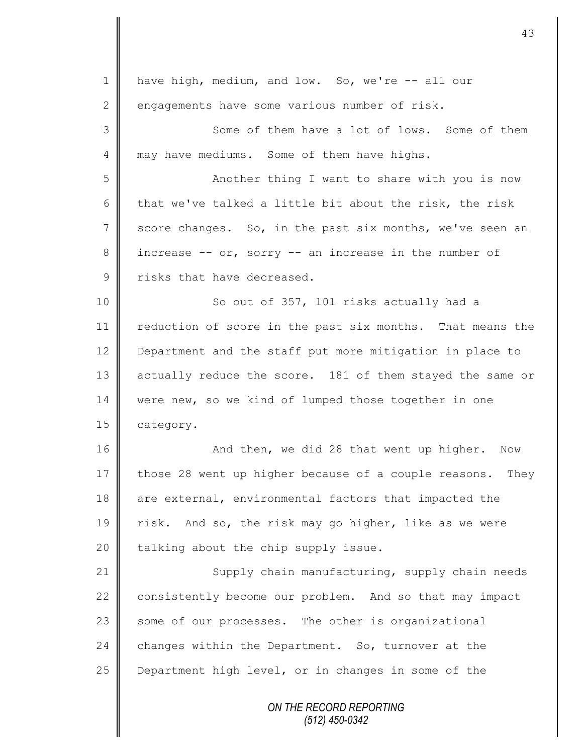*ON THE RECORD REPORTING (512) 450-0342* 1 have high, medium, and low. So, we're -- all our  $2 \parallel$  engagements have some various number of risk. 3 Some of them have a lot of lows. Some of them 4 may have mediums. Some of them have highs. 5 || Another thing I want to share with you is now 6 that we've talked a little bit about the risk, the risk 7 score changes. So, in the past six months, we've seen an  $8 \parallel$  increase -- or, sorry -- an increase in the number of  $9 \parallel$  risks that have decreased. 10 || So out of 357, 101 risks actually had a 11 | reduction of score in the past six months. That means the 12 **Department and the staff put more mitigation in place to** 13 actually reduce the score. 181 of them stayed the same or 14 were new, so we kind of lumped those together in one 15 | category. 16 | Mand then, we did 28 that went up higher. Now 17 those 28 went up higher because of a couple reasons. They 18 are external, environmental factors that impacted the 19 | risk. And so, the risk may go higher, like as we were 20  $\parallel$  talking about the chip supply issue. 21 | Supply chain manufacturing, supply chain needs 22  $\parallel$  consistently become our problem. And so that may impact 23 some of our processes. The other is organizational 24 changes within the Department. So, turnover at the 25 **Department high level, or in changes in some of the**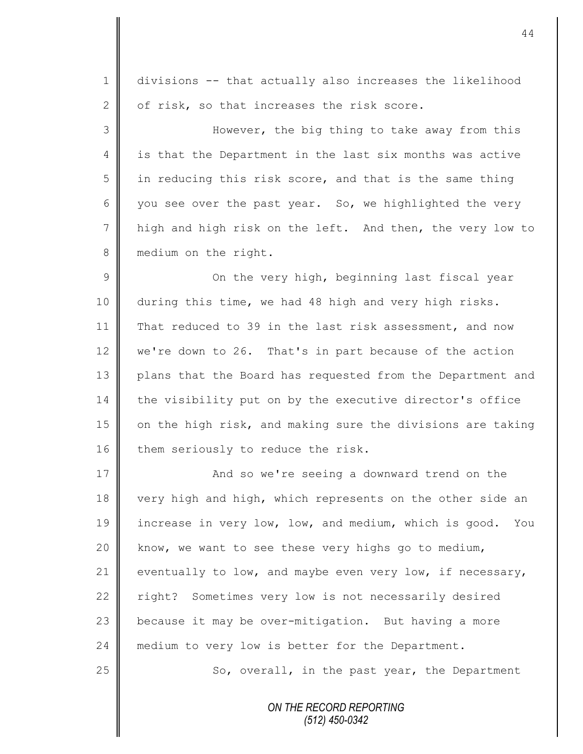1 divisions -- that actually also increases the likelihood 2 | of risk, so that increases the risk score.

3 || However, the big thing to take away from this 4 | is that the Department in the last six months was active  $5 \parallel$  in reducing this risk score, and that is the same thing 6 you see over the past year. So, we highlighted the very 7 | high and high risk on the left. And then, the very low to 8 medium on the right.

9 || On the very high, beginning last fiscal year 10 during this time, we had 48 high and very high risks. 11 That reduced to 39 in the last risk assessment, and now 12 we're down to 26. That's in part because of the action 13 plans that the Board has requested from the Department and 14 the visibility put on by the executive director's office 15 | on the high risk, and making sure the divisions are taking 16 them seriously to reduce the risk.

17 **And so we're seeing a downward trend on the** 18 very high and high, which represents on the other side an 19 increase in very low, low, and medium, which is good. You 20  $\parallel$  know, we want to see these very highs go to medium, 21 eventually to low, and maybe even very low, if necessary, 22 right? Sometimes very low is not necessarily desired 23  $\parallel$  because it may be over-mitigation. But having a more 24 medium to very low is better for the Department.  $25$   $\parallel$  So, overall, in the past year, the Department

> *ON THE RECORD REPORTING (512) 450-0342*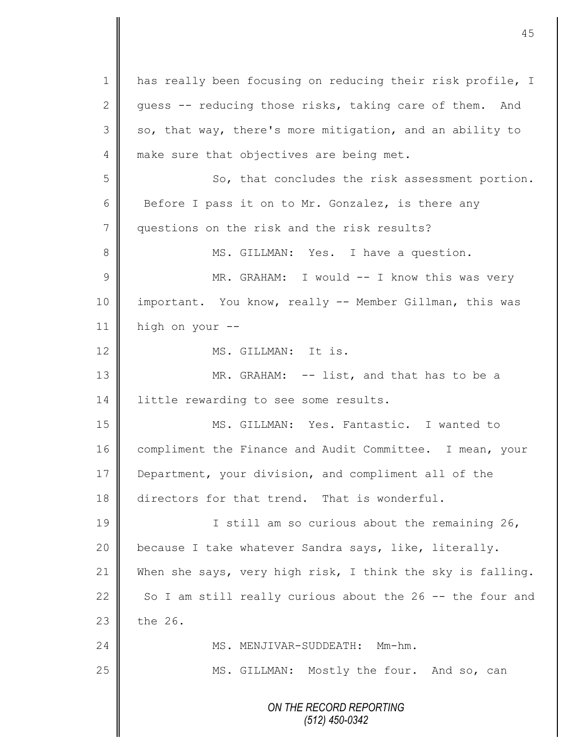*ON THE RECORD REPORTING (512) 450-0342* 1 || has really been focusing on reducing their risk profile, I 2 guess  $-$  reducing those risks, taking care of them. And  $3 \parallel$  so, that way, there's more mitigation, and an ability to 4 make sure that objectives are being met. 5 So, that concludes the risk assessment portion. 6 Before I pass it on to Mr. Gonzalez, is there any 7 questions on the risk and the risk results? 8 || MS. GILLMAN: Yes. I have a question. 9 || MR. GRAHAM: I would -- I know this was very 10 important. You know, really -- Member Gillman, this was 11 high on your -- 12 MS. GILLMAN: It is. 13 MR. GRAHAM: -- list, and that has to be a 14 | little rewarding to see some results. 15 MS. GILLMAN: Yes. Fantastic. I wanted to 16 compliment the Finance and Audit Committee. I mean, your 17 Department, your division, and compliment all of the 18 directors for that trend. That is wonderful. 19 || I still am so curious about the remaining 26, 20 | because I take whatever Sandra says, like, literally. 21 When she says, very high risk, I think the sky is falling. 22 So I am still really curious about the  $26 - -$  the four and 23  $\parallel$  the 26. 24 MS. MENJIVAR-SUDDEATH: Mm-hm. 25 | MS. GILLMAN: Mostly the four. And so, can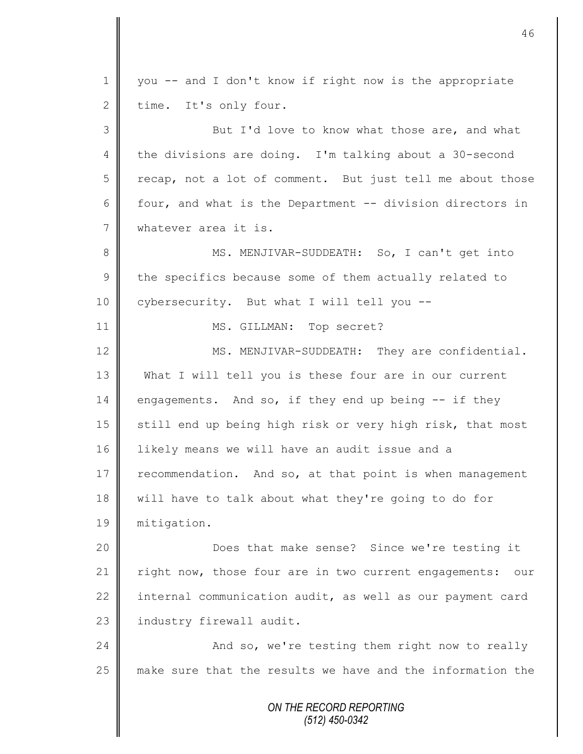*ON THE RECORD REPORTING (512) 450-0342* 1 you -- and I don't know if right now is the appropriate  $2 \parallel$  time. It's only four. 3 But I'd love to know what those are, and what 4 the divisions are doing. I'm talking about a 30-second  $5 \parallel$  recap, not a lot of comment. But just tell me about those 6  $\parallel$  four, and what is the Department -- division directors in 7 whatever area it is. 8 || MS. MENJIVAR-SUDDEATH: So, I can't get into  $9 \parallel$  the specifics because some of them actually related to 10 | cybersecurity. But what I will tell you --11 || MS. GILLMAN: Top secret? 12 MS. MENJIVAR-SUDDEATH: They are confidential. 13 What I will tell you is these four are in our current 14 engagements. And so, if they end up being  $-$  if they 15 | still end up being high risk or very high risk, that most 16 | likely means we will have an audit issue and a 17 recommendation. And so, at that point is when management 18 will have to talk about what they're going to do for 19 mitigation. 20 Does that make sense? Since we're testing it 21 | right now, those four are in two current engagements: our 22 internal communication audit, as well as our payment card 23 | industry firewall audit. 24 | And so, we're testing them right now to really 25 make sure that the results we have and the information the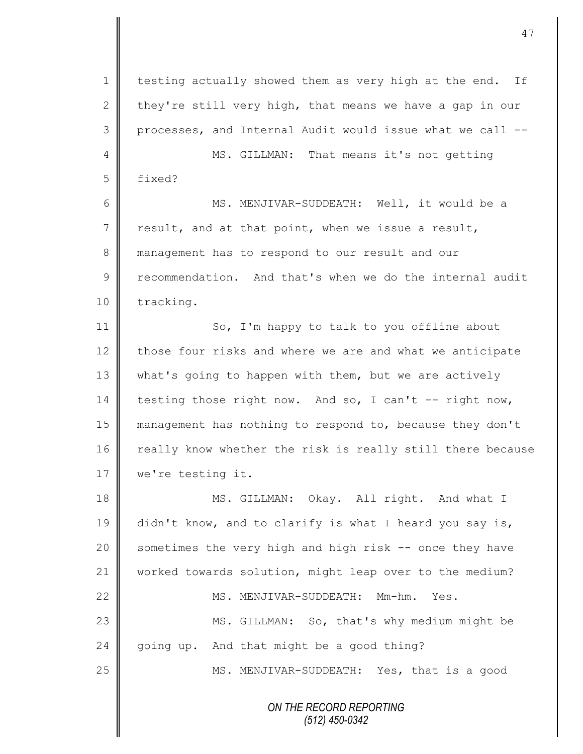*ON THE RECORD REPORTING* 1 testing actually showed them as very high at the end. If 2 they're still very high, that means we have a gap in our 3 processes, and Internal Audit would issue what we call --4 || MS. GILLMAN: That means it's not getting 5 fixed? 6 MS. MENJIVAR-SUDDEATH: Well, it would be a  $7 \parallel$  result, and at that point, when we issue a result, 8 management has to respond to our result and our 9 recommendation. And that's when we do the internal audit 10 | tracking. 11 | So, I'm happy to talk to you offline about  $12$  those four risks and where we are and what we anticipate 13 what's going to happen with them, but we are actively 14 testing those right now. And so, I can't  $-$ - right now, 15 management has nothing to respond to, because they don't 16 | really know whether the risk is really still there because 17 | we're testing it. 18 MS. GILLMAN: Okay. All right. And what I 19 didn't know, and to clarify is what I heard you say is, 20 | sometimes the very high and high risk -- once they have 21 Worked towards solution, might leap over to the medium? 22 MS. MENJIVAR-SUDDEATH: Mm-hm. Yes. 23 || MS. GILLMAN: So, that's why medium might be 24  $\parallel$  going up. And that might be a good thing? 25 MS. MENJIVAR-SUDDEATH: Yes, that is a good

*(512) 450-0342*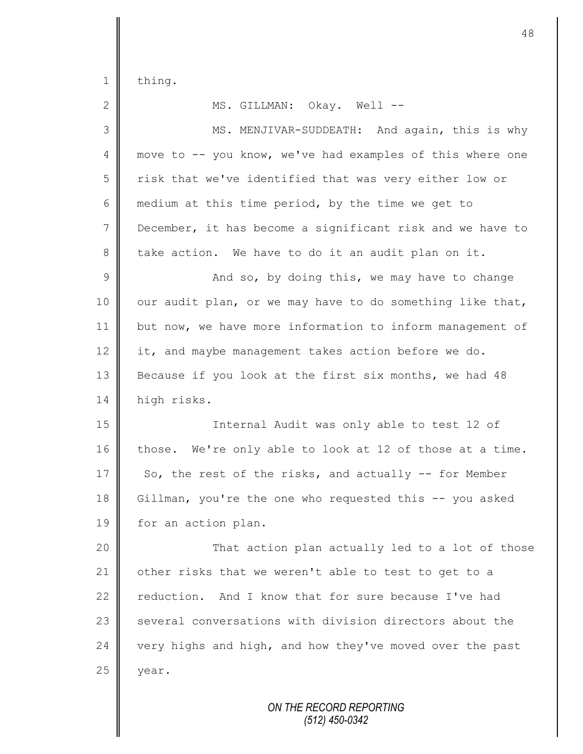1 thing.

 $25$  | year.

2 MS. GILLMAN: Okay. Well -- 3 || MS. MENJIVAR-SUDDEATH: And again, this is why 4 move to -- you know, we've had examples of this where one 5 | risk that we've identified that was very either low or 6 medium at this time period, by the time we get to 7 December, it has become a significant risk and we have to  $8 \parallel$  take action. We have to do it an audit plan on it.  $9 \parallel$  and so, by doing this, we may have to change  $10$  our audit plan, or we may have to do something like that, 11 but now, we have more information to inform management of 12  $\parallel$  it, and maybe management takes action before we do. 13 Because if you look at the first six months, we had 48 14 | high risks. 15 Internal Audit was only able to test 12 of 16 those. We're only able to look at 12 of those at a time. 17 So, the rest of the risks, and actually  $-$  for Member 18 Gillman, you're the one who requested this -- you asked 19 | for an action plan. 20 | That action plan actually led to a lot of those 21 | other risks that we weren't able to test to get to a 22 reduction. And I know that for sure because I've had 23 | several conversations with division directors about the 24 very highs and high, and how they've moved over the past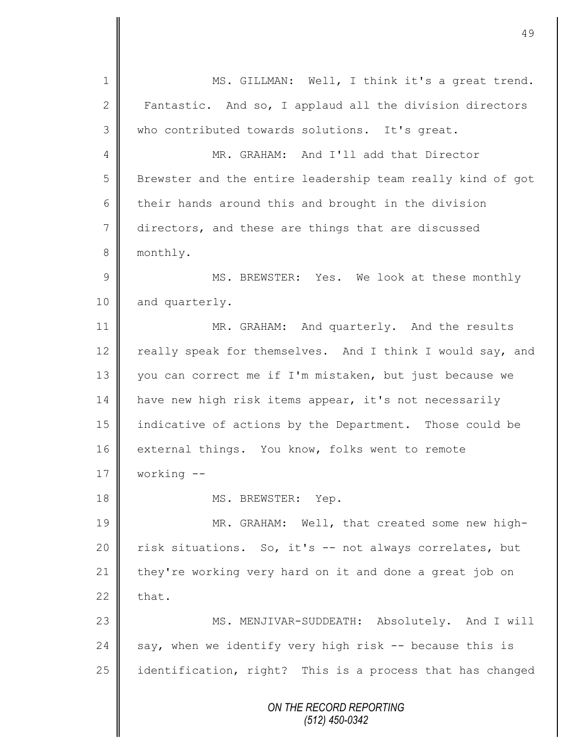*ON THE RECORD REPORTING (512) 450-0342* 1 || MS. GILLMAN: Well, I think it's a great trend. 2 Fantastic. And so, I applaud all the division directors 3 who contributed towards solutions. It's great. 4 MR. GRAHAM: And I'll add that Director 5 Brewster and the entire leadership team really kind of got  $6 \parallel$  their hands around this and brought in the division 7 directors, and these are things that are discussed 8 monthly. 9 MS. BREWSTER: Yes. We look at these monthly 10 and quarterly. 11 MR. GRAHAM: And quarterly. And the results 12 | really speak for themselves. And I think I would say, and 13 you can correct me if I'm mistaken, but just because we 14 | have new high risk items appear, it's not necessarily 15 indicative of actions by the Department. Those could be 16 external things. You know, folks went to remote 17 working -- 18 || MS. BREWSTER: Yep. 19 MR. GRAHAM: Well, that created some new high-20 || risk situations. So, it's -- not always correlates, but 21 they're working very hard on it and done a great job on 22  $\parallel$  that. 23 || MS. MENJIVAR-SUDDEATH: Absolutely. And I will 24 say, when we identify very high risk  $-$  because this is 25  $\parallel$  identification, right? This is a process that has changed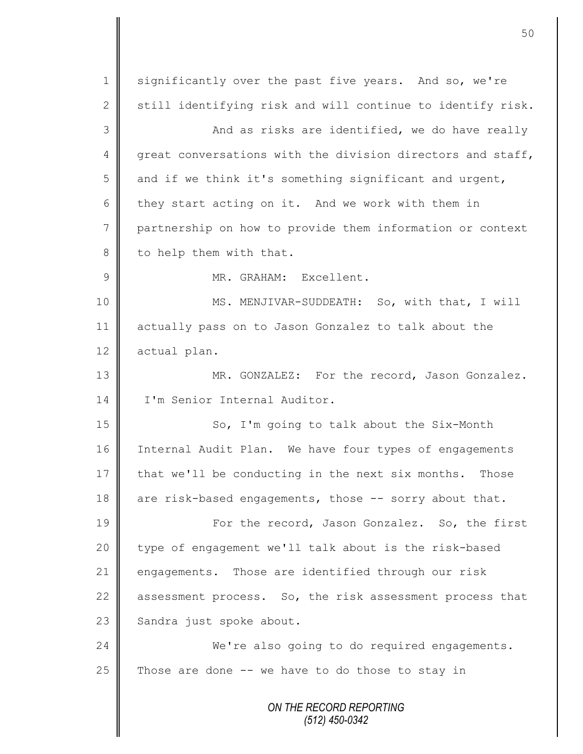*ON THE RECORD REPORTING (512) 450-0342* 1 significantly over the past five years. And so, we're 2 still identifying risk and will continue to identify risk. 3 And as risks are identified, we do have really 4 great conversations with the division directors and staff, 5 and if we think it's something significant and urgent, 6 they start acting on it. And we work with them in 7 partnership on how to provide them information or context  $8 \parallel$  to help them with that. 9 || MR. GRAHAM: Excellent. 10 || MS. MENJIVAR-SUDDEATH: So, with that, I will 11 actually pass on to Jason Gonzalez to talk about the 12 actual plan. 13 MR. GONZALEZ: For the record, Jason Gonzalez. 14 I'm Senior Internal Auditor. 15 || So, I'm going to talk about the Six-Month 16 | Internal Audit Plan. We have four types of engagements 17  $\parallel$  that we'll be conducting in the next six months. Those 18  $\parallel$  are risk-based engagements, those -- sorry about that. 19 | For the record, Jason Gonzalez. So, the first 20 || type of engagement we'll talk about is the risk-based 21 engagements. Those are identified through our risk 22 assessment process. So, the risk assessment process that  $23$  Sandra just spoke about. 24 We're also going to do required engagements. 25 Those are done  $-$  we have to do those to stay in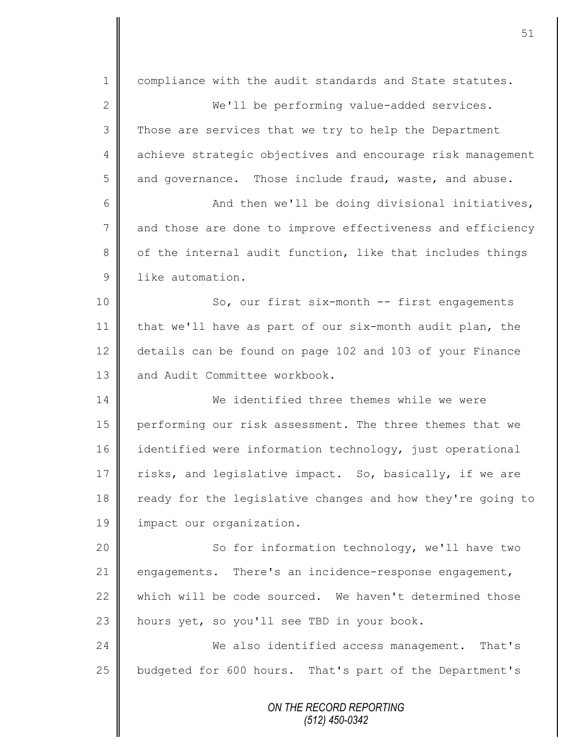*ON THE RECORD REPORTING* 1 compliance with the audit standards and State statutes. 2 || We'll be performing value-added services. 3 Those are services that we try to help the Department 4 achieve strategic objectives and encourage risk management 5 and governance. Those include fraud, waste, and abuse.  $6 \parallel$  And then we'll be doing divisional initiatives, 7 and those are done to improve effectiveness and efficiency  $8 \parallel$  of the internal audit function, like that includes things 9 **l** like automation. 10 || So, our first six-month -- first engagements 11  $\parallel$  that we'll have as part of our six-month audit plan, the 12 details can be found on page 102 and 103 of your Finance 13 || and Audit Committee workbook. 14 We identified three themes while we were 15 | performing our risk assessment. The three themes that we 16 identified were information technology, just operational 17  $\parallel$  risks, and legislative impact. So, basically, if we are 18 ready for the legislative changes and how they're going to 19 | impact our organization. 20 || So for information technology, we'll have two 21 engagements. There's an incidence-response engagement, 22 which will be code sourced. We haven't determined those  $23$  hours yet, so you'll see TBD in your book. 24 We also identified access management. That's 25 decombudgeted for 600 hours. That's part of the Department's

51

*(512) 450-0342*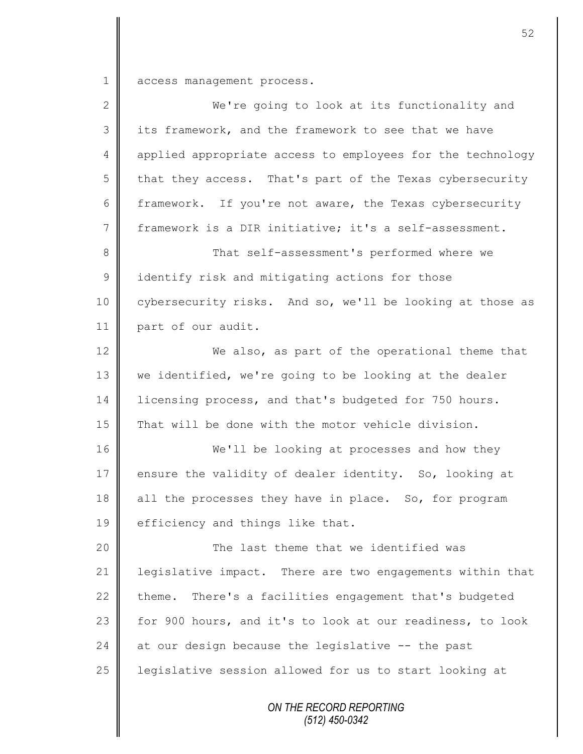1 access management process.

| $\mathbf{2}$    | We're going to look at its functionality and               |
|-----------------|------------------------------------------------------------|
| $\mathfrak{Z}$  | its framework, and the framework to see that we have       |
| $\overline{4}$  | applied appropriate access to employees for the technology |
| 5               | that they access. That's part of the Texas cybersecurity   |
| $6\,$           | framework. If you're not aware, the Texas cybersecurity    |
| $7\phantom{.0}$ | framework is a DIR initiative; it's a self-assessment.     |
| $8\,$           | That self-assessment's performed where we                  |
| $\mathcal{G}$   | identify risk and mitigating actions for those             |
| 10              | cybersecurity risks. And so, we'll be looking at those as  |
| 11              | part of our audit.                                         |
| 12              | We also, as part of the operational theme that             |
| 13              | we identified, we're going to be looking at the dealer     |
| 14              | licensing process, and that's budgeted for 750 hours.      |
| 15              | That will be done with the motor vehicle division.         |
| 16              | We'll be looking at processes and how they                 |
| 17              | ensure the validity of dealer identity. So, looking at     |
| 18              | all the processes they have in place. So, for program      |
| 19              | efficiency and things like that.                           |
| 20              | The last theme that we identified was                      |
| 21              | legislative impact. There are two engagements within that  |
| 22              | theme. There's a facilities engagement that's budgeted     |
| 23              | for 900 hours, and it's to look at our readiness, to look  |
| 24              | at our design because the legislative -- the past          |
| 25              | legislative session allowed for us to start looking at     |
|                 | ON THE RECORD REPORTING<br>(512) 450-0342                  |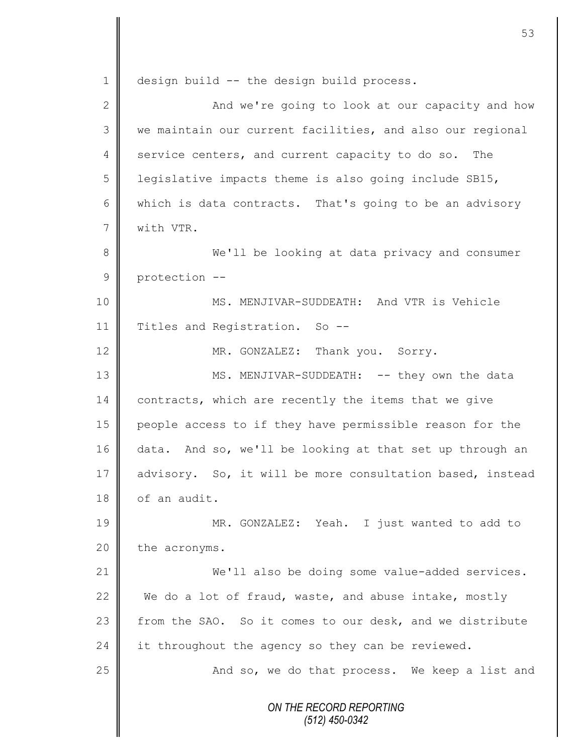*ON THE RECORD REPORTING (512) 450-0342* 1 design build -- the design build process. 2 ||<br>
2 || 3 || we maintain our current facilities, and also our regional 4 service centers, and current capacity to do so. The 5 | legislative impacts theme is also going include SB15, 6 which is data contracts. That's going to be an advisory 7 with VTR. 8 We'll be looking at data privacy and consumer 9 protection --10 MS. MENJIVAR-SUDDEATH: And VTR is Vehicle 11 | Titles and Registration. So --12 MR. GONZALEZ: Thank you. Sorry. 13 || MS. MENJIVAR-SUDDEATH: -- they own the data 14 contracts, which are recently the items that we give 15 people access to if they have permissible reason for the 16 data. And so, we'll be looking at that set up through an 17 advisory. So, it will be more consultation based, instead  $18$  of an audit. 19 || MR. GONZALEZ: Yeah. I just wanted to add to  $20$  the acronyms. 21 We'll also be doing some value-added services. 22 We do a lot of fraud, waste, and abuse intake, mostly 23 | from the SAO. So it comes to our desk, and we distribute  $24$  it throughout the agency so they can be reviewed. 25 And so, we do that process. We keep a list and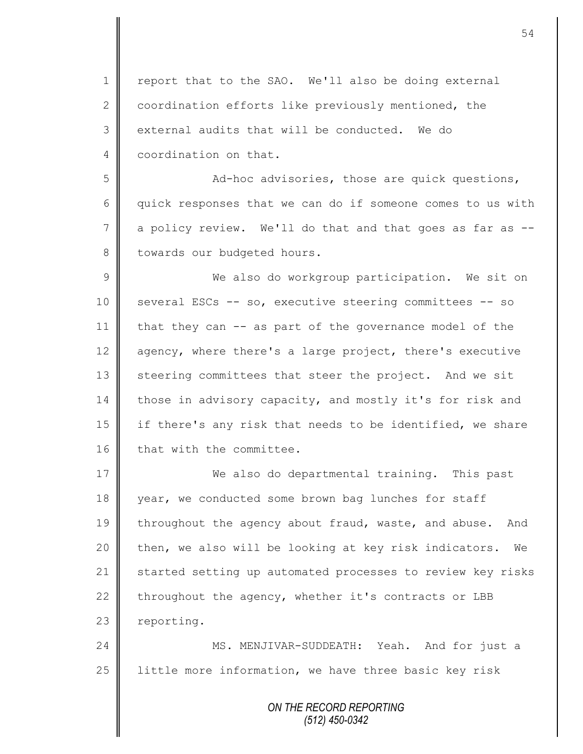1 | report that to the SAO. We'll also be doing external 2 coordination efforts like previously mentioned, the 3 external audits that will be conducted. We do 4 coordination on that.

5 Ad-hoc advisories, those are quick questions, 6 quick responses that we can do if someone comes to us with  $7 \parallel$  a policy review. We'll do that and that goes as far as  $-$ 8 | towards our budgeted hours.

9 || We also do workgroup participation. We sit on 10 | several ESCs -- so, executive steering committees -- so 11 | that they can -- as part of the governance model of the 12 agency, where there's a large project, there's executive 13 steering committees that steer the project. And we sit 14 those in advisory capacity, and mostly it's for risk and 15 | if there's any risk that needs to be identified, we share 16 | that with the committee.

17 We also do departmental training. This past 18 vear, we conducted some brown bag lunches for staff 19 throughout the agency about fraud, waste, and abuse. And 20 then, we also will be looking at key risk indicators. We 21 | started setting up automated processes to review key risks 22 throughout the agency, whether it's contracts or LBB  $23$  reporting.

24 | MS. MENJIVAR-SUDDEATH: Yeah. And for just a 25  $\parallel$  little more information, we have three basic key risk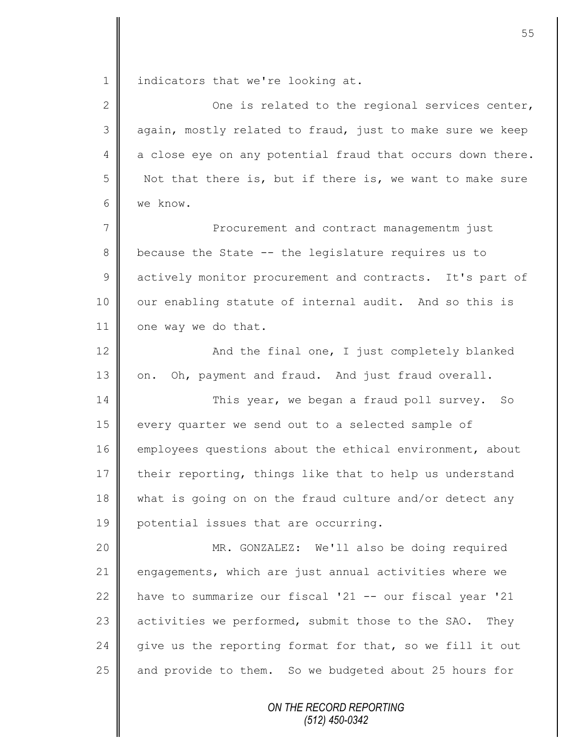1 | indicators that we're looking at.

| $\overline{2}$ | One is related to the regional services center,            |
|----------------|------------------------------------------------------------|
| 3              | again, mostly related to fraud, just to make sure we keep  |
| 4              | a close eye on any potential fraud that occurs down there. |
| 5              | Not that there is, but if there is, we want to make sure   |
| 6              | we know.                                                   |
| 7              | Procurement and contract managementm just                  |
| $8\,$          | because the State -- the legislature requires us to        |
| $\mathcal{G}$  | actively monitor procurement and contracts. It's part of   |
| 10             | our enabling statute of internal audit. And so this is     |
| 11             | one way we do that.                                        |
| 12             | And the final one, I just completely blanked               |
| 13             | Oh, payment and fraud. And just fraud overall.<br>on.      |
| 14             | This year, we began a fraud poll survey. So                |
| 15             | every quarter we send out to a selected sample of          |
| 16             | employees questions about the ethical environment, about   |
| 17             | their reporting, things like that to help us understand    |
| 18             | what is going on on the fraud culture and/or detect any    |
| 19             | potential issues that are occurring.                       |
| 20             | MR. GONZALEZ: We'll also be doing required                 |
| 21             | engagements, which are just annual activities where we     |
| 22             | have to summarize our fiscal '21 -- our fiscal year '21    |
| 23             | activities we performed, submit those to the SAO. They     |
| 24             | give us the reporting format for that, so we fill it out   |
| 25             | and provide to them. So we budgeted about 25 hours for     |
|                |                                                            |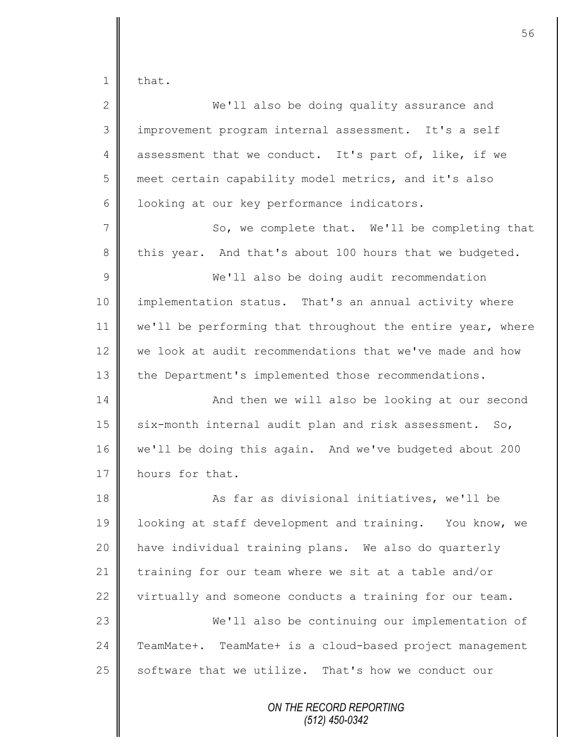that.

| $\overline{2}$ | We'll also be doing quality assurance and                  |
|----------------|------------------------------------------------------------|
| 3              | improvement program internal assessment. It's a self       |
| 4              | assessment that we conduct. It's part of, like, if we      |
| 5              | meet certain capability model metrics, and it's also       |
| 6              | looking at our key performance indicators.                 |
| $\overline{7}$ | So, we complete that. We'll be completing that             |
| 8              | this year. And that's about 100 hours that we budgeted.    |
| 9              | We'll also be doing audit recommendation                   |
| 10             | implementation status. That's an annual activity where     |
| 11             | we'll be performing that throughout the entire year, where |
| 12             | we look at audit recommendations that we've made and how   |
| 13             | the Department's implemented those recommendations.        |
| 14             | And then we will also be looking at our second             |
| 15             | six-month internal audit plan and risk assessment. So,     |
| 16             | we'll be doing this again. And we've budgeted about 200    |
| 17             | hours for that.                                            |
| 18             | As far as divisional initiatives, we'll be                 |
| 19             | looking at staff development and training. You know, we    |
| 20             | have individual training plans. We also do quarterly       |
| 21             | training for our team where we sit at a table and/or       |
| 22             | virtually and someone conducts a training for our team.    |
| 23             | We'll also be continuing our implementation of             |
| 24             | TeamMate+. TeamMate+ is a cloud-based project management   |
| 25             | software that we utilize. That's how we conduct our        |
|                |                                                            |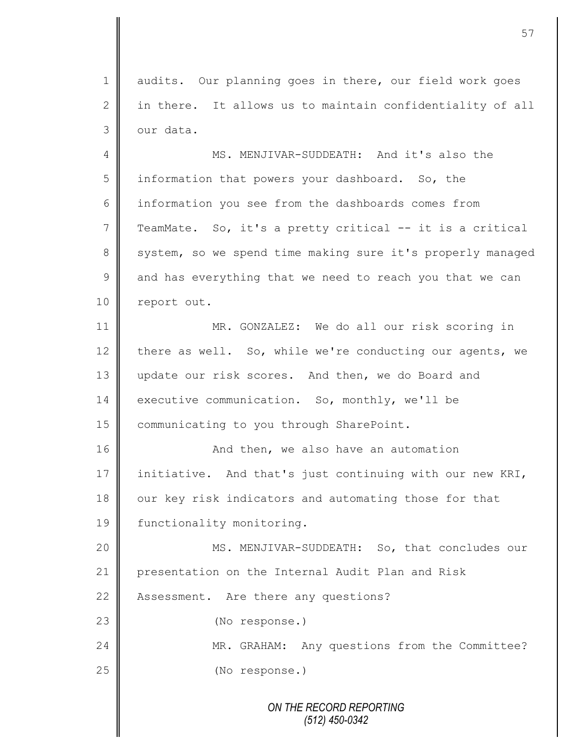1 audits. Our planning goes in there, our field work goes  $2 \parallel$  in there. It allows us to maintain confidentiality of all  $3$  our data.

4 || MS. MENJIVAR-SUDDEATH: And it's also the 5 information that powers your dashboard. So, the 6 information you see from the dashboards comes from 7 TeamMate. So, it's a pretty critical -- it is a critical 8 system, so we spend time making sure it's properly managed  $9 \parallel$  and has everything that we need to reach you that we can 10 | report out.

11 MR. GONZALEZ: We do all our risk scoring in 12 there as well. So, while we're conducting our agents, we 13 update our risk scores. And then, we do Board and 14 executive communication. So, monthly, we'll be 15 | communicating to you through SharePoint.

16 | **And then, we also have an automation** 17 initiative. And that's just continuing with our new KRI, 18 our key risk indicators and automating those for that 19 | functionality monitoring.

20 || MS. MENJIVAR-SUDDEATH: So, that concludes our 21 presentation on the Internal Audit Plan and Risk 22 Assessment. Are there any questions?

23 **(No response.)** 

24 MR. GRAHAM: Any questions from the Committee? 25 (No response.)

> *ON THE RECORD REPORTING (512) 450-0342*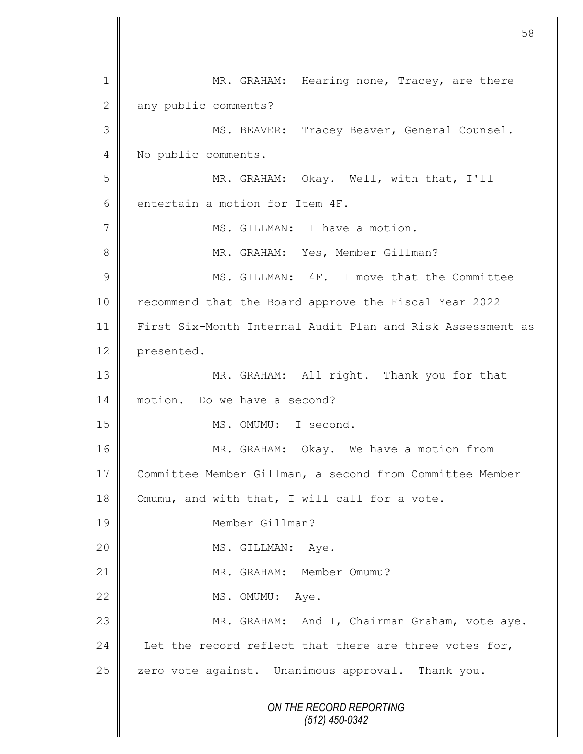*ON THE RECORD REPORTING (512) 450-0342* 1 MR. GRAHAM: Hearing none, Tracey, are there 2 any public comments? 3 MS. BEAVER: Tracey Beaver, General Counsel. 4 No public comments. 5 || MR. GRAHAM: Okay. Well, with that, I'll 6 entertain a motion for Item  $4F$ . 7 | MS. GILLMAN: I have a motion. 8 MR. GRAHAM: Yes, Member Gillman? 9 **M** MS. GILLMAN: 4F. I move that the Committee 10 | recommend that the Board approve the Fiscal Year 2022 11 First Six-Month Internal Audit Plan and Risk Assessment as 12 presented. 13 MR. GRAHAM: All right. Thank you for that 14 motion. Do we have a second? 15 || MS. OMUMU: I second. 16 || MR. GRAHAM: Okay. We have a motion from 17 Committee Member Gillman, a second from Committee Member 18 Omumu, and with that, I will call for a vote. 19 Member Gillman? 20 || MS. GILLMAN: Aye. 21 || MR. GRAHAM: Member Omumu? 22 MS. OMUMU: Aye. 23 MR. GRAHAM: And I, Chairman Graham, vote aye. 24 Let the record reflect that there are three votes for,  $25$   $\parallel$  zero vote against. Unanimous approval. Thank you.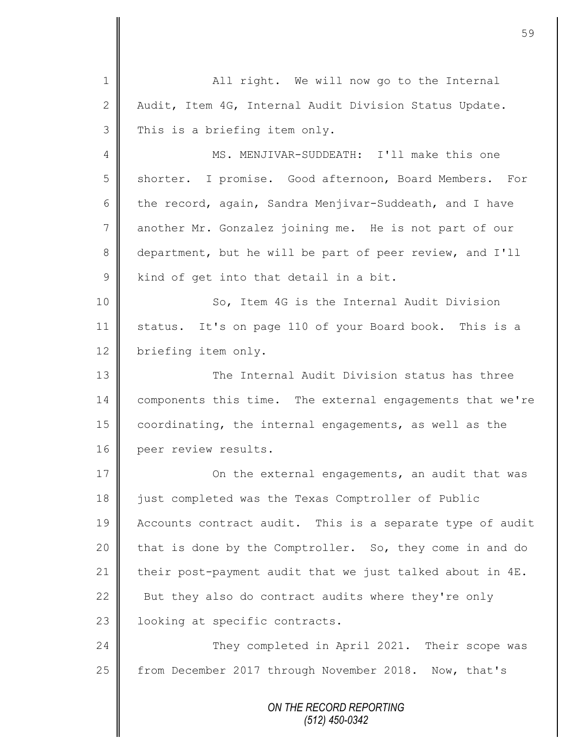*ON THE RECORD REPORTING (512) 450-0342* 1 All right. We will now go to the Internal 2 | Audit, Item 4G, Internal Audit Division Status Update.  $3 \parallel$  This is a briefing item only. 4 MS. MENJIVAR-SUDDEATH: I'll make this one 5 shorter. I promise. Good afternoon, Board Members. For 6 the record, again, Sandra Menjivar-Suddeath, and I have 7 another Mr. Gonzalez joining me. He is not part of our 8 department, but he will be part of peer review, and I'll 9 | kind of get into that detail in a bit. 10 || So, Item 4G is the Internal Audit Division 11 status. It's on page 110 of your Board book. This is a 12 briefing item only. 13 **The Internal Audit Division status has three** 14 | components this time. The external engagements that we're 15 coordinating, the internal engagements, as well as the 16 peer review results. 17 | Con the external engagements, an audit that was 18 iust completed was the Texas Comptroller of Public 19 Accounts contract audit. This is a separate type of audit 20 that is done by the Comptroller. So, they come in and do 21 their post-payment audit that we just talked about in  $4E$ . 22  $\parallel$  But they also do contract audits where they're only 23 | looking at specific contracts. 24 They completed in April 2021. Their scope was 25 | from December 2017 through November 2018. Now, that's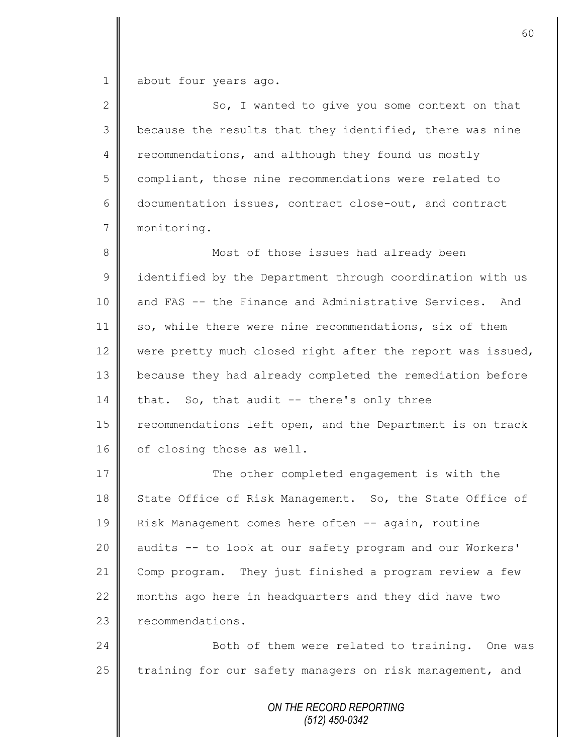1 about four years ago.

2 So, I wanted to give you some context on that 3 | because the results that they identified, there was nine 4 recommendations, and although they found us mostly 5 compliant, those nine recommendations were related to 6 documentation issues, contract close-out, and contract 7 monitoring. 8 Most of those issues had already been 9 | identified by the Department through coordination with us 10 and FAS -- the Finance and Administrative Services. And 11 so, while there were nine recommendations, six of them 12 were pretty much closed right after the report was issued, 13 **because they had already completed the remediation before** 14 that. So, that audit  $-$  there's only three 15 | recommendations left open, and the Department is on track 16 of closing those as well. 17 The other completed engagement is with the 18 State Office of Risk Management. So, the State Office of 19 Risk Management comes here often -- again, routine 20 || audits -- to look at our safety program and our Workers' 21 Comp program. They just finished a program review a few 22 months ago here in headquarters and they did have two 23 **T** recommendations. 24 | Both of them were related to training. One was 25 | training for our safety managers on risk management, and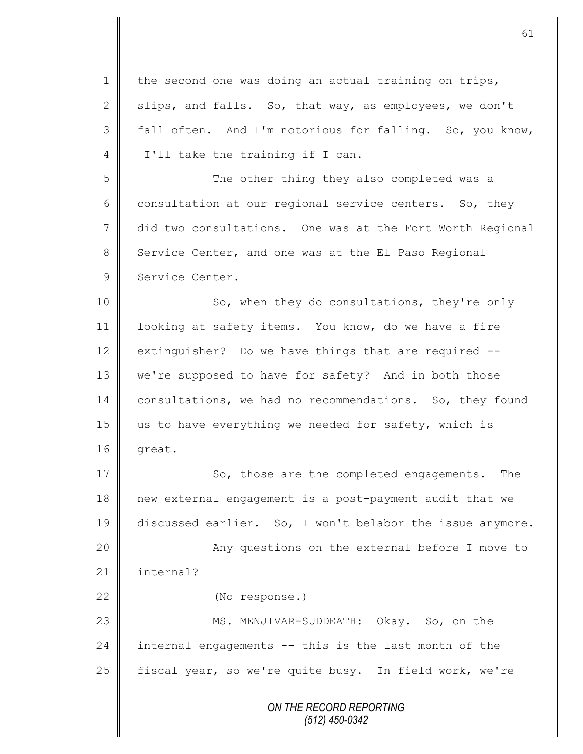*ON THE RECORD REPORTING (512) 450-0342* 1 | the second one was doing an actual training on trips, 2 slips, and falls. So, that way, as employees, we don't 3 fall often. And I'm notorious for falling. So, you know, 4 | I'll take the training if I can. 5 || The other thing they also completed was a 6 consultation at our regional service centers. So, they 7 did two consultations. One was at the Fort Worth Regional 8 Service Center, and one was at the El Paso Regional 9 Service Center. 10 || So, when they do consultations, they're only 11 | looking at safety items. You know, do we have a fire 12 extinguisher? Do we have things that are required  $-$ 13 we're supposed to have for safety? And in both those 14 consultations, we had no recommendations. So, they found 15 us to have everything we needed for safety, which is  $16$  great. 17 || So, those are the completed engagements. The 18 new external engagement is a post-payment audit that we 19 discussed earlier. So, I won't belabor the issue anymore. 20 || Any questions on the external before I move to 21 | internal? 22 (No response.) 23 || MS. MENJIVAR-SUDDEATH: Okay. So, on the 24  $\parallel$  internal engagements -- this is the last month of the 25 | fiscal year, so we're quite busy. In field work, we're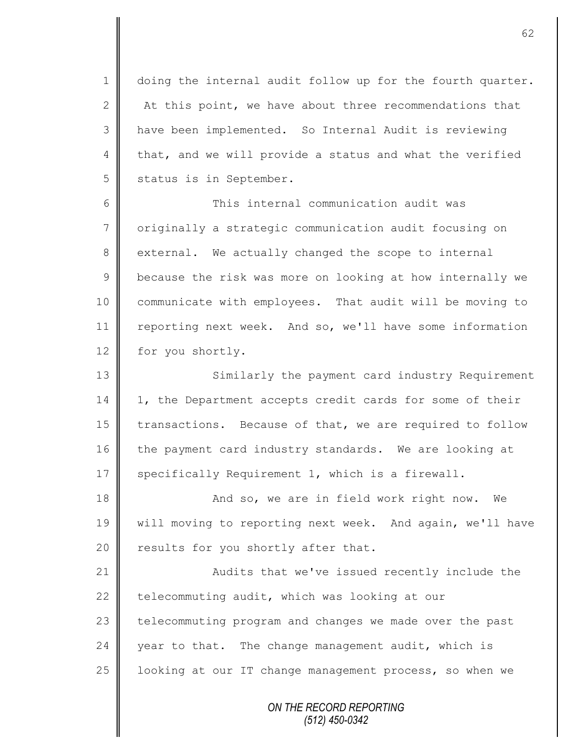1 doing the internal audit follow up for the fourth quarter. 2  $\parallel$  At this point, we have about three recommendations that 3 have been implemented. So Internal Audit is reviewing 4 that, and we will provide a status and what the verified 5 status is in September.

6 This internal communication audit was 7 | originally a strategic communication audit focusing on 8 external. We actually changed the scope to internal 9 **b**ecause the risk was more on looking at how internally we 10 communicate with employees. That audit will be moving to 11 reporting next week. And so, we'll have some information 12 for you shortly.

13 || Similarly the payment card industry Requirement 14 | 1, the Department accepts credit cards for some of their 15 transactions. Because of that, we are required to follow 16 the payment card industry standards. We are looking at 17 Specifically Requirement 1, which is a firewall.

18 || And so, we are in field work right now. We 19 | will moving to reporting next week. And again, we'll have 20  $\parallel$  results for you shortly after that.

21 | Audits that we've issued recently include the 22  $\parallel$  telecommuting audit, which was looking at our 23 telecommuting program and changes we made over the past  $24$  | year to that. The change management audit, which is 25  $\parallel$  looking at our IT change management process, so when we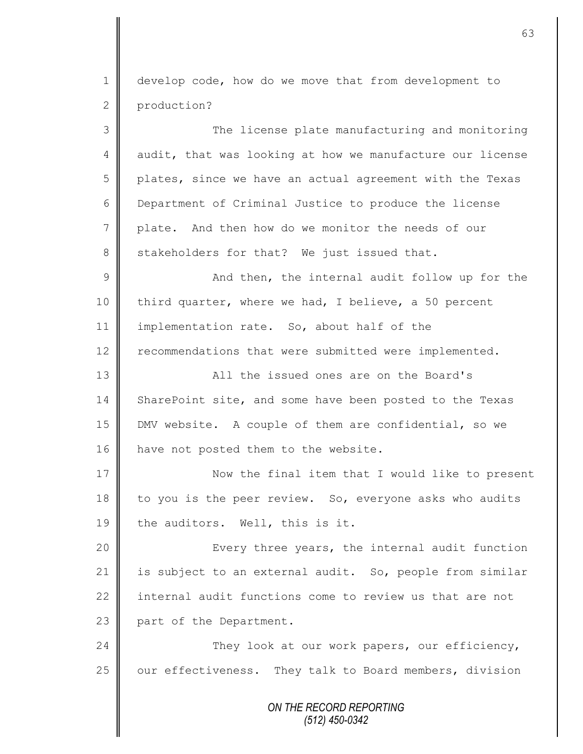*ON THE RECORD REPORTING (512) 450-0342* 1 develop code, how do we move that from development to 2 production? 3 || The license plate manufacturing and monitoring 4 audit, that was looking at how we manufacture our license 5 | plates, since we have an actual agreement with the Texas 6 Department of Criminal Justice to produce the license 7 plate. And then how do we monitor the needs of our 8 stakeholders for that? We just issued that. 9 And then, the internal audit follow up for the 10 third quarter, where we had, I believe, a 50 percent 11 | implementation rate. So, about half of the 12 | recommendations that were submitted were implemented. 13 All the issued ones are on the Board's 14 SharePoint site, and some have been posted to the Texas 15 DMV website. A couple of them are confidential, so we 16 | have not posted them to the website. 17 Now the final item that I would like to present  $18$  to you is the peer review. So, everyone asks who audits 19 the auditors. Well, this is it. 20 || Every three years, the internal audit function 21 | is subject to an external audit. So, people from similar 22 internal audit functions come to review us that are not 23 part of the Department. 24 They look at our work papers, our efficiency,  $25$  | our effectiveness. They talk to Board members, division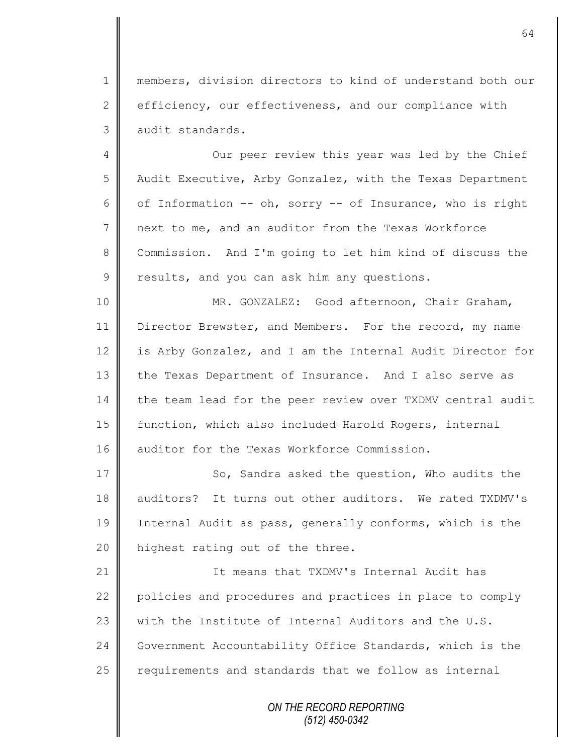1 members, division directors to kind of understand both our 2 efficiency, our effectiveness, and our compliance with 3 audit standards.

4 || Our peer review this year was led by the Chief 5 Audit Executive, Arby Gonzalez, with the Texas Department 6 | of Information -- oh, sorry -- of Insurance, who is right 7 next to me, and an auditor from the Texas Workforce 8 Commission. And I'm going to let him kind of discuss the  $9 \parallel$  results, and you can ask him any questions.

10 || MR. GONZALEZ: Good afternoon, Chair Graham, 11 | Director Brewster, and Members. For the record, my name 12 is Arby Gonzalez, and I am the Internal Audit Director for 13 the Texas Department of Insurance. And I also serve as 14 the team lead for the peer review over TXDMV central audit 15 | function, which also included Harold Rogers, internal 16 auditor for the Texas Workforce Commission.

17 | So, Sandra asked the question, Who audits the 18 auditors? It turns out other auditors. We rated TXDMV's 19 | Internal Audit as pass, generally conforms, which is the 20 | highest rating out of the three.

21 **I** The means that TXDMV's Internal Audit has 22 policies and procedures and practices in place to comply 23 W with the Institute of Internal Auditors and the U.S. 24 Government Accountability Office Standards, which is the  $25$  requirements and standards that we follow as internal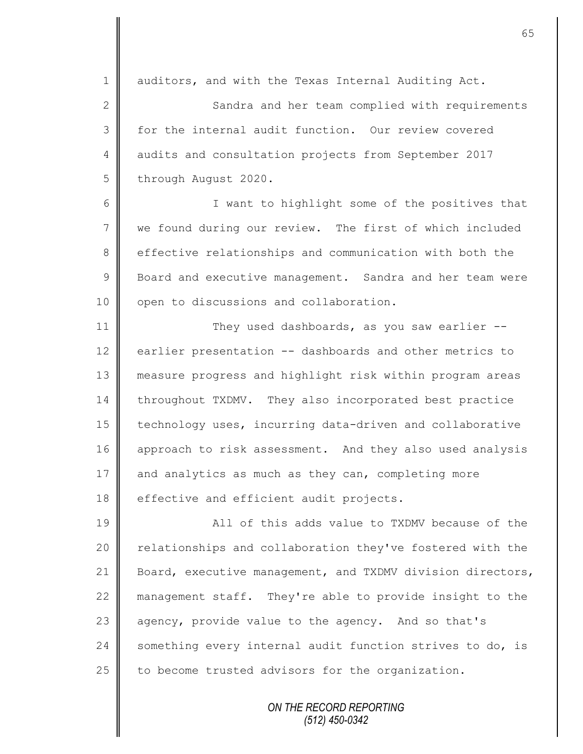1 auditors, and with the Texas Internal Auditing Act.

2 || Sandra and her team complied with requirements 3 for the internal audit function. Our review covered 4 audits and consultation projects from September 2017 5 through August 2020.

6 || I want to highlight some of the positives that 7 we found during our review. The first of which included 8 effective relationships and communication with both the 9 | Board and executive management. Sandra and her team were 10 | open to discussions and collaboration.

11 They used dashboards, as you saw earlier --12 earlier presentation -- dashboards and other metrics to 13 measure progress and highlight risk within program areas 14 throughout TXDMV. They also incorporated best practice 15 | technology uses, incurring data-driven and collaborative 16 approach to risk assessment. And they also used analysis 17 and analytics as much as they can, completing more 18 effective and efficient audit projects.

19 **All of this adds value to TXDMV because of the** 20 | relationships and collaboration they've fostered with the 21 Board, executive management, and TXDMV division directors, 22 management staff. They're able to provide insight to the 23 agency, provide value to the agency. And so that's  $24$  something every internal audit function strives to do, is 25 to become trusted advisors for the organization.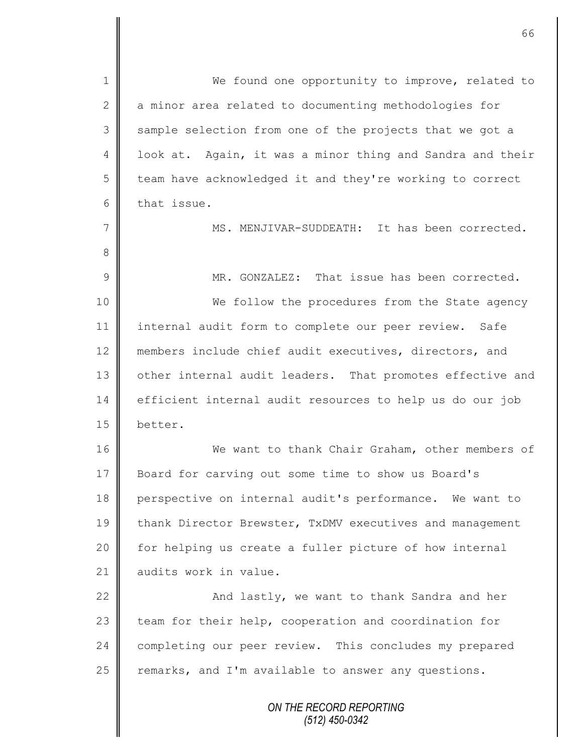*ON THE RECORD REPORTING (512) 450-0342* 1 || We found one opportunity to improve, related to 2 a minor area related to documenting methodologies for 3 Sample selection from one of the projects that we got a 4 | look at. Again, it was a minor thing and Sandra and their 5 | team have acknowledged it and they're working to correct  $6 \parallel$  that issue. 7 || MS. MENJIVAR-SUDDEATH: It has been corrected. 8 9 MR. GONZALEZ: That issue has been corrected. 10 || We follow the procedures from the State agency 11 internal audit form to complete our peer review. Safe 12 members include chief audit executives, directors, and 13 other internal audit leaders. That promotes effective and 14 efficient internal audit resources to help us do our job 15 better. 16 We want to thank Chair Graham, other members of 17 Board for carving out some time to show us Board's 18 perspective on internal audit's performance. We want to 19 thank Director Brewster, TxDMV executives and management 20 for helping us create a fuller picture of how internal 21 | audits work in value. 22 **And lastly, we want to thank Sandra and her** 23 team for their help, cooperation and coordination for 24 completing our peer review. This concludes my prepared  $25$  remarks, and I'm available to answer any questions.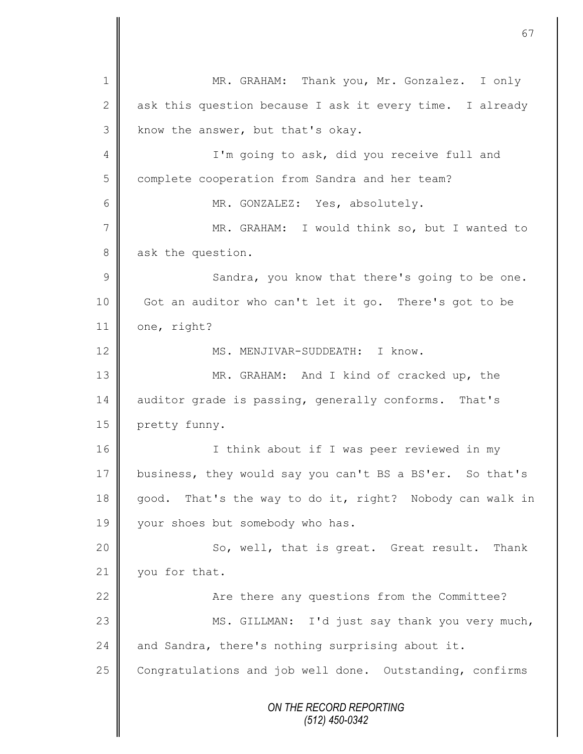*ON THE RECORD REPORTING (512) 450-0342* 1 || MR. GRAHAM: Thank you, Mr. Gonzalez. I only 2 ask this question because I ask it every time. I already  $3$  know the answer, but that's okay. 4 || I'm going to ask, did you receive full and 5 complete cooperation from Sandra and her team? 6 || MR. GONZALEZ: Yes, absolutely. 7 MR. GRAHAM: I would think so, but I wanted to 8 ask the question. 9 || Sandra, you know that there's going to be one. 10 Got an auditor who can't let it go. There's got to be 11 | one, right? 12 | MS. MENJIVAR-SUDDEATH: I know. 13 MR. GRAHAM: And I kind of cracked up, the 14 auditor grade is passing, generally conforms. That's 15 **pretty funny.** 16 || I think about if I was peer reviewed in my 17 business, they would say you can't BS a BS'er. So that's 18 good. That's the way to do it, right? Nobody can walk in 19 vour shoes but somebody who has. 20 || So, well, that is great. Great result. Thank 21 vou for that. 22 | Are there any questions from the Committee? 23 || MS. GILLMAN: I'd just say thank you very much, 24 and Sandra, there's nothing surprising about it. 25 Congratulations and job well done. Outstanding, confirms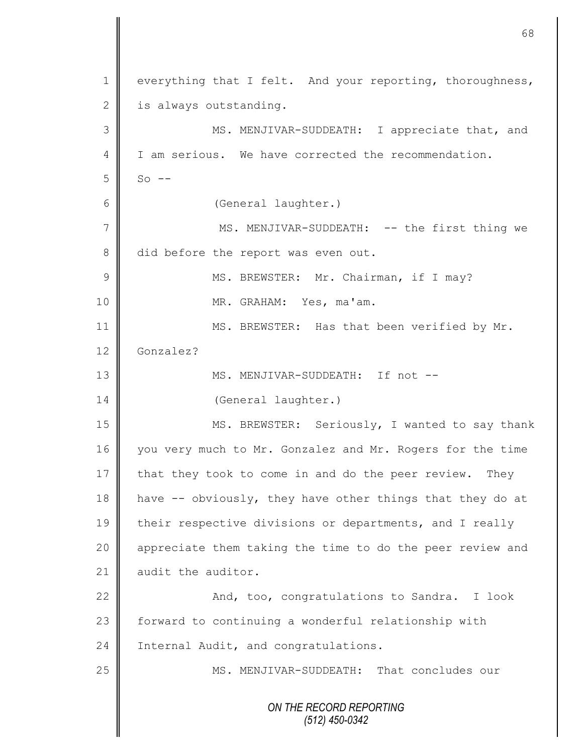*ON THE RECORD REPORTING (512) 450-0342* 1 everything that I felt. And your reporting, thoroughness,  $2 \parallel$  is always outstanding. 3 || MS. MENJIVAR-SUDDEATH: I appreciate that, and 4 I I am serious. We have corrected the recommendation.  $5 \parallel$  So --6 (General laughter.) 7 || MS. MENJIVAR-SUDDEATH: -- the first thing we 8 did before the report was even out. 9 || MS. BREWSTER: Mr. Chairman, if I may? 10 MR. GRAHAM: Yes, ma'am. 11 || MS. BREWSTER: Has that been verified by Mr. 12 Gonzalez? 13 MS. MENJIVAR-SUDDEATH: If not -- 14 | (General laughter.) 15 MS. BREWSTER: Seriously, I wanted to say thank 16 you very much to Mr. Gonzalez and Mr. Rogers for the time 17 that they took to come in and do the peer review. They 18  $\parallel$  have -- obviously, they have other things that they do at 19 their respective divisions or departments, and I really 20 || appreciate them taking the time to do the peer review and 21  $\parallel$  audit the auditor. 22 | Kanal, too, congratulations to Sandra. I look 23 | forward to continuing a wonderful relationship with 24 | Internal Audit, and congratulations. 25 | MS. MENJIVAR-SUDDEATH: That concludes our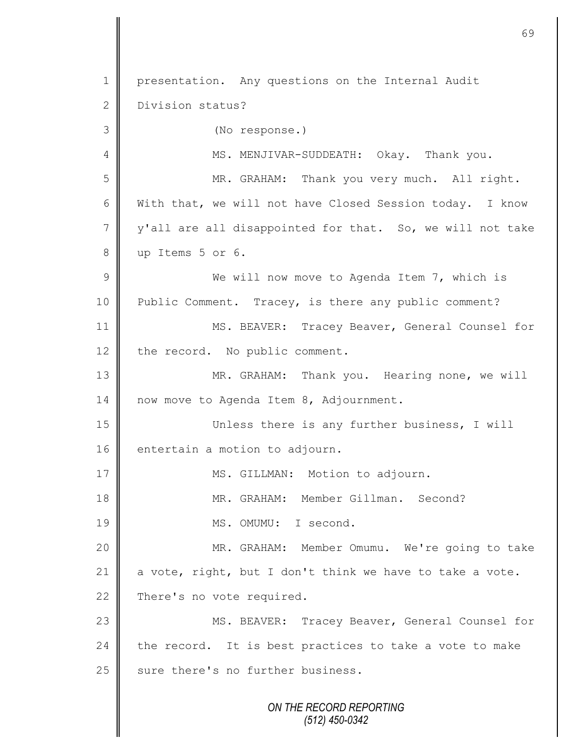*ON THE RECORD REPORTING (512) 450-0342* 1 | presentation. Any questions on the Internal Audit 2 Division status? 3 (No response.) 4 | MS. MENJIVAR-SUDDEATH: Okay. Thank you. 5 || MR. GRAHAM: Thank you very much. All right. 6 With that, we will not have Closed Session today. I know  $7 \parallel y'$  all are all disappointed for that. So, we will not take 8 up Items 5 or 6. 9 || We will now move to Agenda Item 7, which is 10 | Public Comment. Tracey, is there any public comment? 11 MS. BEAVER: Tracey Beaver, General Counsel for 12 the record. No public comment. 13 MR. GRAHAM: Thank you. Hearing none, we will 14 | now move to Agenda Item 8, Adjournment. 15 Unless there is any further business, I will 16 entertain a motion to adjourn. 17 | MS. GILLMAN: Motion to adjourn. 18 || MR. GRAHAM: Member Gillman. Second? 19 MS. OMUMU: I second. 20 MR. GRAHAM: Member Omumu. We're going to take 21  $\parallel$  a vote, right, but I don't think we have to take a vote. 22 There's no vote required. 23 | MS. BEAVER: Tracey Beaver, General Counsel for 24  $\parallel$  the record. It is best practices to take a vote to make 25 sure there's no further business.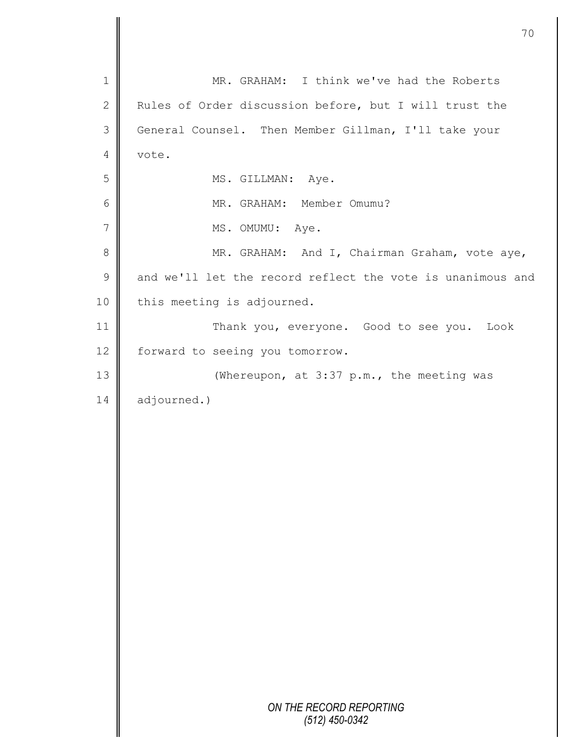|                | 70                                                         |
|----------------|------------------------------------------------------------|
| $\mathbf 1$    | MR. GRAHAM: I think we've had the Roberts                  |
| $\mathbf{2}$   | Rules of Order discussion before, but I will trust the     |
| $\mathfrak{Z}$ | General Counsel. Then Member Gillman, I'll take your       |
| 4              | vote.                                                      |
| 5              | MS. GILLMAN: Aye.                                          |
| 6              | MR. GRAHAM: Member Omumu?                                  |
|                |                                                            |
| 7              | MS. OMUMU: Aye.                                            |
| 8              | MR. GRAHAM: And I, Chairman Graham, vote aye,              |
| $\mathsf 9$    | and we'll let the record reflect the vote is unanimous and |
| 10             | this meeting is adjourned.                                 |
| 11             | Thank you, everyone. Good to see you. Look                 |
| 12             | forward to seeing you tomorrow.                            |
| 13             | (Whereupon, at 3:37 p.m., the meeting was                  |
| 14             | adjourned.)                                                |
|                |                                                            |
|                |                                                            |
|                |                                                            |
|                |                                                            |
|                |                                                            |
|                |                                                            |
|                |                                                            |
|                |                                                            |
|                |                                                            |
|                |                                                            |
|                |                                                            |
|                |                                                            |
|                | ON THE RECORD REPORTING<br>(512) 450-0342                  |

 $\overline{\mathsf{I}}$